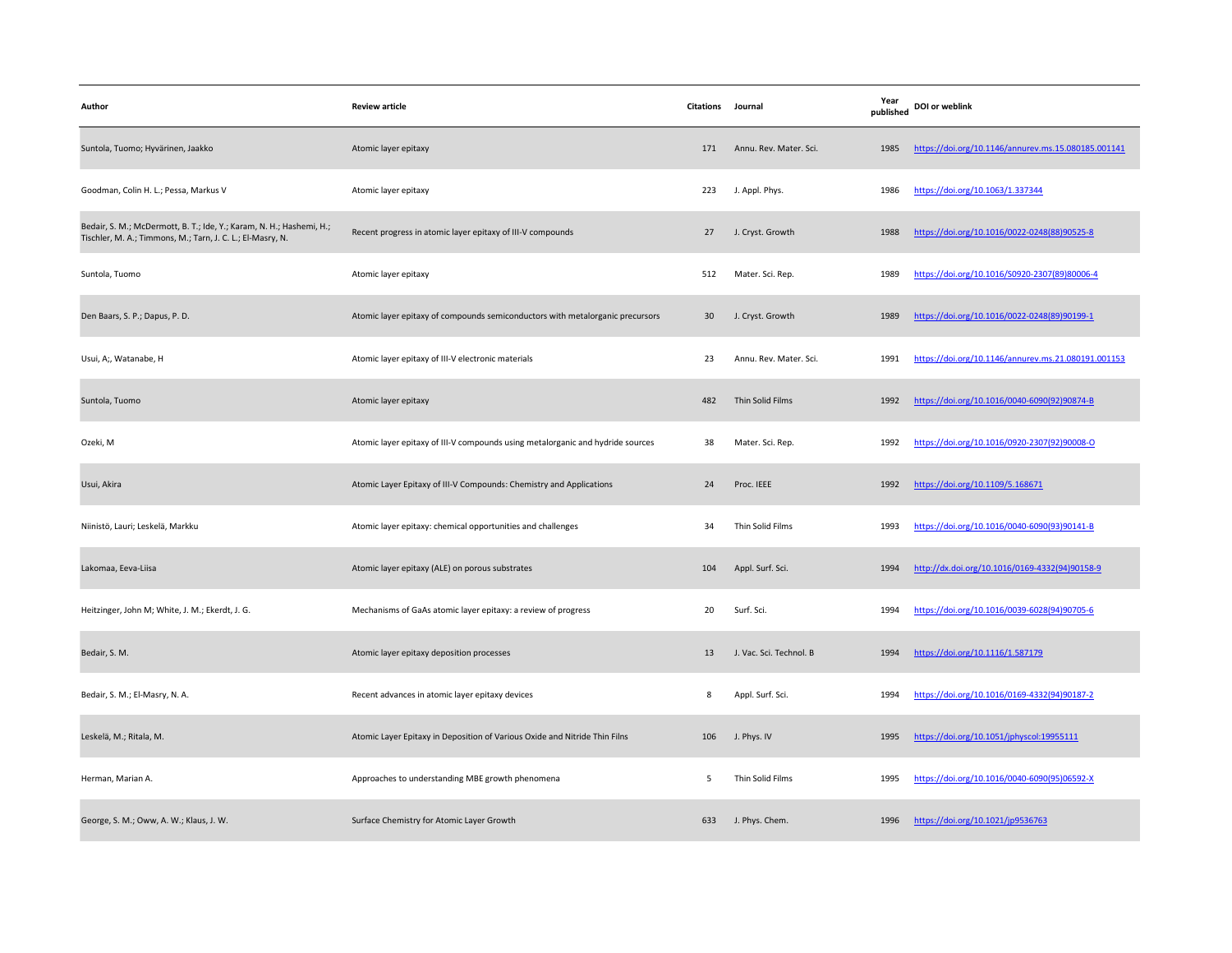| Author                                                                                                                             | <b>Review article</b>                                                          | Citations Journal |                         | Year<br>published | DOI or weblink                                      |
|------------------------------------------------------------------------------------------------------------------------------------|--------------------------------------------------------------------------------|-------------------|-------------------------|-------------------|-----------------------------------------------------|
| Suntola, Tuomo; Hyvärinen, Jaakko                                                                                                  | Atomic layer epitaxy                                                           | 171               | Annu. Rev. Mater. Sci.  | 1985              | https://doi.org/10.1146/annurev.ms.15.080185.001141 |
| Goodman, Colin H. L.; Pessa, Markus V                                                                                              | Atomic layer epitaxy                                                           | 223               | J. Appl. Phys.          | 1986              | https://doi.org/10.1063/1.337344                    |
| Bedair, S. M.; McDermott, B. T.; Ide, Y.; Karam, N. H.; Hashemi, H.;<br>Tischler, M. A.; Timmons, M.; Tarn, J. C. L.; El-Masry, N. | Recent progress in atomic layer epitaxy of III-V compounds                     | 27                | J. Cryst. Growth        | 1988              | https://doi.org/10.1016/0022-0248(88)90525-8        |
| Suntola, Tuomo                                                                                                                     | Atomic layer epitaxy                                                           | 512               | Mater. Sci. Rep.        | 1989              | https://doi.org/10.1016/S0920-2307(89)80006-4       |
| Den Baars, S. P.; Dapus, P. D.                                                                                                     | Atomic layer epitaxy of compounds semiconductors with metalorganic precursors  | 30                | J. Cryst. Growth        | 1989              | https://doi.org/10.1016/0022-0248(89)90199-1        |
| Usui, A;, Watanabe, H                                                                                                              | Atomic layer epitaxy of III-V electronic materials                             | 23                | Annu. Rev. Mater. Sci.  | 1991              | https://doi.org/10.1146/annurev.ms.21.080191.001153 |
| Suntola, Tuomo                                                                                                                     | Atomic layer epitaxy                                                           | 482               | Thin Solid Films        | 1992              | https://doi.org/10.1016/0040-6090(92)90874-B        |
| Ozeki, M                                                                                                                           | Atomic layer epitaxy of III-V compounds using metalorganic and hydride sources | 38                | Mater. Sci. Rep.        | 1992              | https://doi.org/10.1016/0920-2307(92)90008-O        |
| Usui, Akira                                                                                                                        | Atomic Layer Epitaxy of III-V Compounds: Chemistry and Applications            | 24                | Proc. IEEE              | 1992              | https://doi.org/10.1109/5.168671                    |
| Niinistö, Lauri; Leskelä, Markku                                                                                                   | Atomic layer epitaxy: chemical opportunities and challenges                    | 34                | Thin Solid Films        | 1993              | https://doi.org/10.1016/0040-6090(93)90141-B        |
| Lakomaa, Eeva-Liisa                                                                                                                | Atomic layer epitaxy (ALE) on porous substrates                                | 104               | Appl. Surf. Sci.        | 1994              | http://dx.doi.org/10.1016/0169-4332(94)90158-9      |
| Heitzinger, John M; White, J. M.; Ekerdt, J. G.                                                                                    | Mechanisms of GaAs atomic layer epitaxy: a review of progress                  | 20                | Surf. Sci.              | 1994              | https://doi.org/10.1016/0039-6028(94)90705-6        |
| Bedair, S. M.                                                                                                                      | Atomic layer epitaxy deposition processes                                      | 13                | J. Vac. Sci. Technol. B | 1994              | https://doi.org/10.1116/1.587179                    |
| Bedair, S. M.; El-Masry, N. A.                                                                                                     | Recent advances in atomic layer epitaxy devices                                | 8                 | Appl. Surf. Sci.        | 1994              | https://doi.org/10.1016/0169-4332(94)90187-2        |
| Leskelä, M.; Ritala, M.                                                                                                            | Atomic Layer Epitaxy in Deposition of Various Oxide and Nitride Thin Filns     | 106               | J. Phys. IV             | 1995              | https://doi.org/10.1051/jphyscol:19955111           |
| Herman, Marian A.                                                                                                                  | Approaches to understanding MBE growth phenomena                               | 5                 | Thin Solid Films        | 1995              | https://doi.org/10.1016/0040-6090(95)06592-X        |
| George, S. M.; Oww, A. W.; Klaus, J. W.                                                                                            | Surface Chemistry for Atomic Layer Growth                                      | 633               | J. Phys. Chem.          | 1996              | https://doi.org/10.1021/jp9536763                   |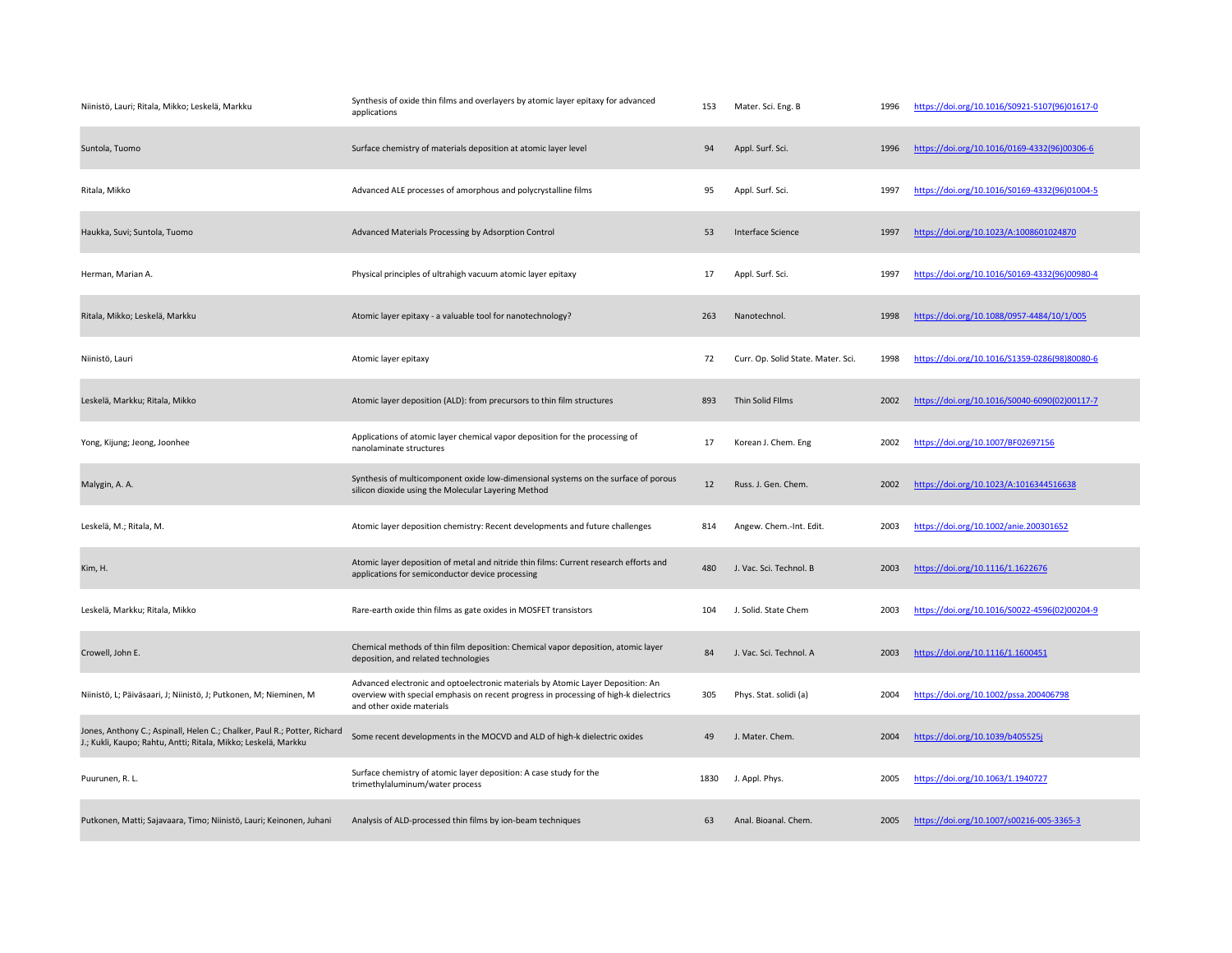| Niinistö, Lauri; Ritala, Mikko; Leskelä, Markku                                                                                            | Synthesis of oxide thin films and overlayers by atomic layer epitaxy for advanced<br>applications                                                                                                     | 153  | Mater. Sci. Eng. B                 | 1996 | https://doi.org/10.1016/S0921-5107(96)01617-0 |
|--------------------------------------------------------------------------------------------------------------------------------------------|-------------------------------------------------------------------------------------------------------------------------------------------------------------------------------------------------------|------|------------------------------------|------|-----------------------------------------------|
| Suntola, Tuomo                                                                                                                             | Surface chemistry of materials deposition at atomic layer level                                                                                                                                       | 94   | Appl. Surf. Sci.                   | 1996 | https://doi.org/10.1016/0169-4332(96)00306-6  |
| Ritala, Mikko                                                                                                                              | Advanced ALE processes of amorphous and polycrystalline films                                                                                                                                         | 95   | Appl. Surf. Sci.                   | 1997 | https://doi.org/10.1016/S0169-4332(96)01004-5 |
| Haukka, Suvi; Suntola, Tuomo                                                                                                               | Advanced Materials Processing by Adsorption Control                                                                                                                                                   | 53   | Interface Science                  | 1997 | https://doi.org/10.1023/A:1008601024870       |
| Herman, Marian A.                                                                                                                          | Physical principles of ultrahigh vacuum atomic layer epitaxy                                                                                                                                          | 17   | Appl. Surf. Sci.                   | 1997 | https://doi.org/10.1016/S0169-4332(96)00980-4 |
| Ritala, Mikko; Leskelä, Markku                                                                                                             | Atomic layer epitaxy - a valuable tool for nanotechnology?                                                                                                                                            | 263  | Nanotechnol.                       | 1998 | https://doi.org/10.1088/0957-4484/10/1/005    |
| Niinistö, Lauri                                                                                                                            | Atomic layer epitaxy                                                                                                                                                                                  | 72   | Curr. Op. Solid State. Mater. Sci. | 1998 | https://doi.org/10.1016/S1359-0286(98)80080-6 |
| Leskelä, Markku; Ritala, Mikko                                                                                                             | Atomic layer deposition (ALD): from precursors to thin film structures                                                                                                                                | 893  | Thin Solid Films                   | 2002 | https://doi.org/10.1016/S0040-6090(02)00117-7 |
| Yong, Kijung; Jeong, Joonhee                                                                                                               | Applications of atomic layer chemical vapor deposition for the processing of<br>nanolaminate structures                                                                                               | 17   | Korean J. Chem. Eng                | 2002 | https://doi.org/10.1007/BF02697156            |
| Malygin, A. A.                                                                                                                             | Synthesis of multicomponent oxide low-dimensional systems on the surface of porous<br>silicon dioxide using the Molecular Layering Method                                                             | 12   | Russ. J. Gen. Chem.                | 2002 | https://doi.org/10.1023/A:1016344516638       |
| Leskelä, M.; Ritala, M.                                                                                                                    | Atomic layer deposition chemistry: Recent developments and future challenges                                                                                                                          | 814  | Angew. Chem.-Int. Edit.            | 2003 | https://doi.org/10.1002/anie.200301652        |
| Kim, H.                                                                                                                                    | Atomic layer deposition of metal and nitride thin films: Current research efforts and<br>applications for semiconductor device processing                                                             | 480  | J. Vac. Sci. Technol. B            | 2003 | https://doi.org/10.1116/1.1622676             |
| Leskelä, Markku; Ritala, Mikko                                                                                                             | Rare-earth oxide thin films as gate oxides in MOSFET transistors                                                                                                                                      | 104  | J. Solid. State Chem               | 2003 | https://doi.org/10.1016/S0022-4596(02)00204-9 |
| Crowell, John E.                                                                                                                           | Chemical methods of thin film deposition: Chemical vapor deposition, atomic layer<br>deposition, and related technologies                                                                             | 84   | J. Vac. Sci. Technol. A            | 2003 | https://doi.org/10.1116/1.1600451             |
| Niinistö, L; Päiväsaari, J; Niinistö, J; Putkonen, M; Nieminen, M                                                                          | Advanced electronic and optoelectronic materials by Atomic Layer Deposition: An<br>overview with special emphasis on recent progress in processing of high-k dielectrics<br>and other oxide materials | 305  | Phys. Stat. solidi (a)             | 2004 | https://doi.org/10.1002/pssa.200406798        |
| Jones, Anthony C.; Aspinall, Helen C.; Chalker, Paul R.; Potter, Richard<br>J.; Kukli, Kaupo; Rahtu, Antti; Ritala, Mikko; Leskelä, Markku | Some recent developments in the MOCVD and ALD of high-k dielectric oxides                                                                                                                             | 49   | J. Mater. Chem.                    | 2004 | https://doi.org/10.1039/b405525j              |
| Puurunen, R. L.                                                                                                                            | Surface chemistry of atomic layer deposition: A case study for the<br>trimethylaluminum/water process                                                                                                 | 1830 | J. Appl. Phys.                     | 2005 | https://doi.org/10.1063/1.1940727             |
| Putkonen, Matti; Sajavaara, Timo; Niinistö, Lauri; Keinonen, Juhani                                                                        | Analysis of ALD-processed thin films by ion-beam techniques                                                                                                                                           | 63   | Anal. Bioanal. Chem.               | 2005 | https://doi.org/10.1007/s00216-005-3365-3     |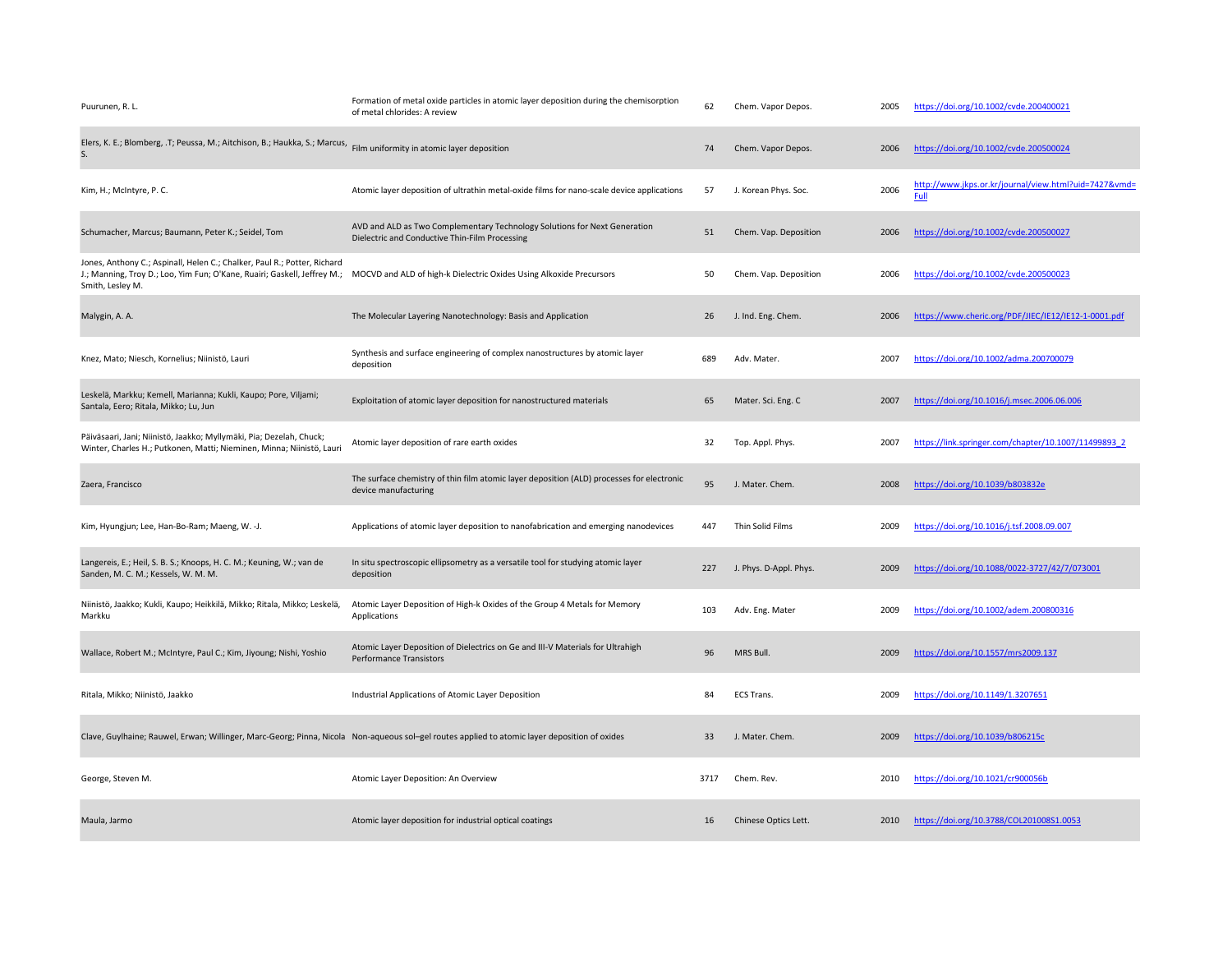| Puurunen, R. L.                                                                                                                                                          | Formation of metal oxide particles in atomic layer deposition during the chemisorption<br>of metal chlorides: A review                        | 62   | Chem. Vapor Depos.     | 2005 | https://doi.org/10.1002/cvde.200400021                        |
|--------------------------------------------------------------------------------------------------------------------------------------------------------------------------|-----------------------------------------------------------------------------------------------------------------------------------------------|------|------------------------|------|---------------------------------------------------------------|
| Elers, K. E.; Blomberg, T; Peussa, M.; Aitchison, B.; Haukka, S.; Marcus, Film uniformity in atomic layer deposition<br>S.                                               |                                                                                                                                               | 74   | Chem. Vapor Depos.     | 2006 | https://doi.org/10.1002/cvde.200500024                        |
| Kim, H.; McIntyre, P.C.                                                                                                                                                  | Atomic layer deposition of ultrathin metal-oxide films for nano-scale device applications                                                     | 57   | J. Korean Phys. Soc.   | 2006 | http://www.jkps.or.kr/journal/view.html?uid=7427&vmd=<br>Full |
| Schumacher, Marcus; Baumann, Peter K.; Seidel, Tom                                                                                                                       | AVD and ALD as Two Complementary Technology Solutions for Next Generation<br>Dielectric and Conductive Thin-Film Processing                   | 51   | Chem. Vap. Deposition  | 2006 | https://doi.org/10.1002/cvde.200500027                        |
| Jones, Anthony C.; Aspinall, Helen C.; Chalker, Paul R.; Potter, Richard<br>J.; Manning, Troy D.; Loo, Yim Fun; O'Kane, Ruairi; Gaskell, Jeffrey M.;<br>Smith, Lesley M. | MOCVD and ALD of high-k Dielectric Oxides Using Alkoxide Precursors                                                                           | 50   | Chem. Vap. Deposition  | 2006 | https://doi.org/10.1002/cvde.200500023                        |
| Malygin, A. A.                                                                                                                                                           | The Molecular Layering Nanotechnology: Basis and Application                                                                                  | 26   | J. Ind. Eng. Chem.     | 2006 | https://www.cheric.org/PDF/JIEC/IE12/IE12-1-0001.pdf          |
| Knez, Mato; Niesch, Kornelius; Niinistö, Lauri                                                                                                                           | Synthesis and surface engineering of complex nanostructures by atomic layer<br>deposition                                                     | 689  | Adv. Mater.            | 2007 | https://doi.org/10.1002/adma.200700079                        |
| Leskelä, Markku; Kemell, Marianna; Kukli, Kaupo; Pore, Viljami;<br>Santala, Eero; Ritala, Mikko; Lu, Jun                                                                 | Exploitation of atomic layer deposition for nanostructured materials                                                                          | 65   | Mater. Sci. Eng. C     | 2007 | https://doi.org/10.1016/j.msec.2006.06.006                    |
| Päiväsaari, Jani; Niinistö, Jaakko; Myllymäki, Pia; Dezelah, Chuck;<br>Winter, Charles H.; Putkonen, Matti; Nieminen, Minna; Niinistö, Lauri                             | Atomic layer deposition of rare earth oxides                                                                                                  | 32   | Top. Appl. Phys.       | 2007 | https://link.springer.com/chapter/10.1007/11499893 2          |
| Zaera, Francisco                                                                                                                                                         | The surface chemistry of thin film atomic layer deposition (ALD) processes for electronic<br>device manufacturing                             | 95   | J. Mater. Chem.        | 2008 | https://doi.org/10.1039/b803832e                              |
| Kim, Hyungjun; Lee, Han-Bo-Ram; Maeng, W. -J.                                                                                                                            | Applications of atomic layer deposition to nanofabrication and emerging nanodevices                                                           | 447  | Thin Solid Films       | 2009 | https://doi.org/10.1016/j.tsf.2008.09.007                     |
| Langereis, E.; Heil, S. B. S.; Knoops, H. C. M.; Keuning, W.; van de<br>Sanden, M. C. M.; Kessels, W. M. M.                                                              | In situ spectroscopic ellipsometry as a versatile tool for studying atomic layer<br>deposition                                                | 227  | J. Phys. D-Appl. Phys. | 2009 | https://doi.org/10.1088/0022-3727/42/7/073001                 |
| Niinistö, Jaakko; Kukli, Kaupo; Heikkilä, Mikko; Ritala, Mikko; Leskelä,<br>Markku                                                                                       | Atomic Layer Deposition of High-k Oxides of the Group 4 Metals for Memory<br>Applications                                                     | 103  | Adv. Eng. Mater        | 2009 | https://doi.org/10.1002/adem.200800316                        |
| Wallace, Robert M.; McIntyre, Paul C.; Kim, Jiyoung; Nishi, Yoshio                                                                                                       | Atomic Layer Deposition of Dielectrics on Ge and III-V Materials for Ultrahigh<br><b>Performance Transistors</b>                              | 96   | MRS Bull.              | 2009 | https://doi.org/10.1557/mrs2009.137                           |
| Ritala, Mikko; Niinistö, Jaakko                                                                                                                                          | Industrial Applications of Atomic Layer Deposition                                                                                            | 84   | <b>ECS Trans.</b>      | 2009 | https://doi.org/10.1149/1.3207651                             |
|                                                                                                                                                                          | Clave, Guylhaine; Rauwel, Erwan; Willinger, Marc-Georg; Pinna, Nicola Non-aqueous sol-gel routes applied to atomic layer deposition of oxides | 33   | J. Mater. Chem.        | 2009 | https://doi.org/10.1039/b806215c                              |
| George, Steven M.                                                                                                                                                        | Atomic Layer Deposition: An Overview                                                                                                          | 3717 | Chem. Rev.             | 2010 | https://doi.org/10.1021/cr900056b                             |
|                                                                                                                                                                          |                                                                                                                                               |      |                        |      |                                                               |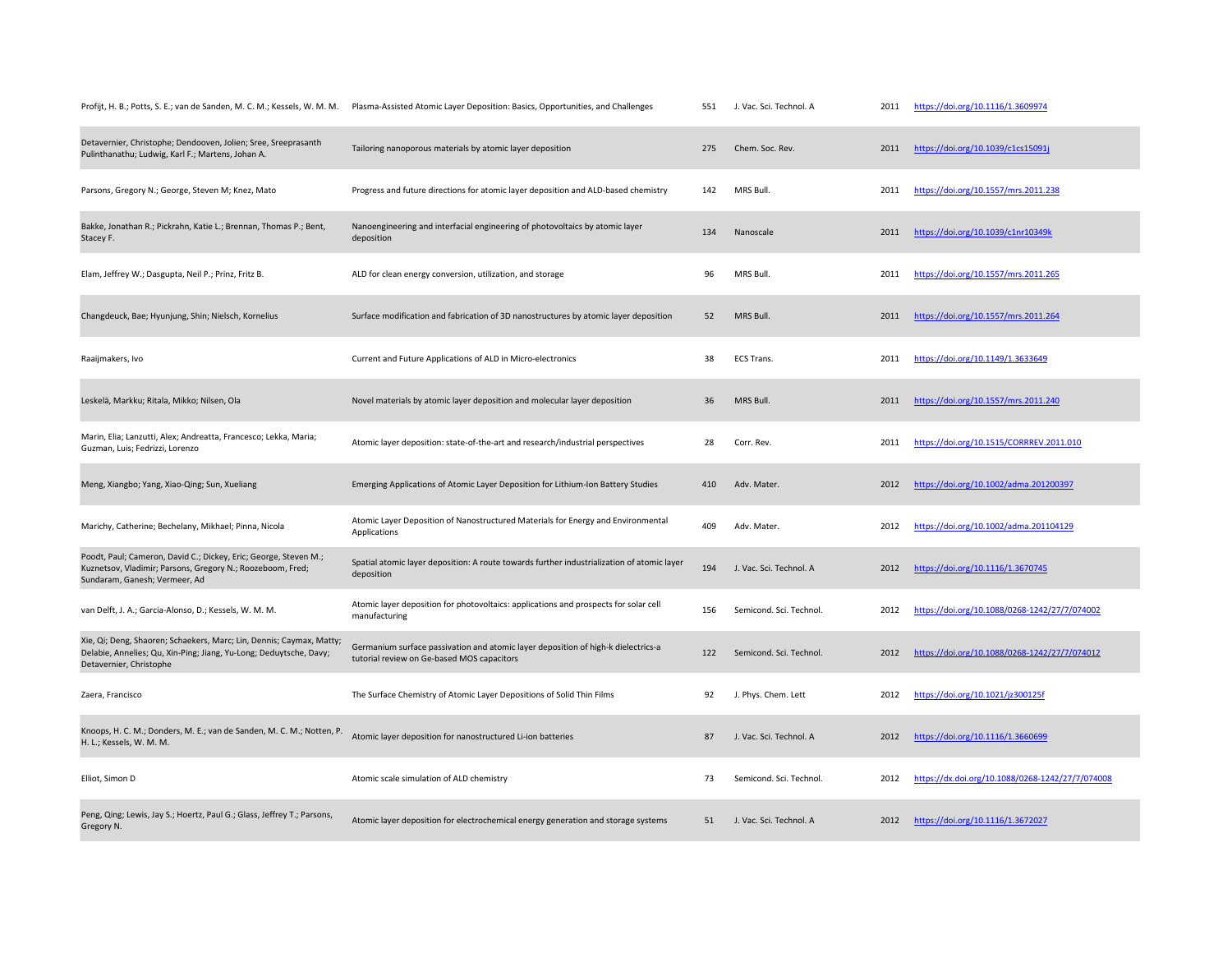| Profijt, H. B.; Potts, S. E.; van de Sanden, M. C. M.; Kessels, W. M. M.                                                                                              | Plasma-Assisted Atomic Layer Deposition: Basics, Opportunities, and Challenges                                                  | 551 | J. Vac. Sci. Technol. A | 2011 | https://doi.org/10.1116/1.3609974                |
|-----------------------------------------------------------------------------------------------------------------------------------------------------------------------|---------------------------------------------------------------------------------------------------------------------------------|-----|-------------------------|------|--------------------------------------------------|
| Detavernier, Christophe; Dendooven, Jolien; Sree, Sreeprasanth<br>Pulinthanathu; Ludwig, Karl F.; Martens, Johan A.                                                   | Tailoring nanoporous materials by atomic layer deposition                                                                       | 275 | Chem. Soc. Rev.         | 2011 | https://doi.org/10.1039/c1cs15091j               |
| Parsons, Gregory N.; George, Steven M; Knez, Mato                                                                                                                     | Progress and future directions for atomic layer deposition and ALD-based chemistry                                              | 142 | MRS Bull.               | 2011 | https://doi.org/10.1557/mrs.2011.238             |
| Bakke, Jonathan R.; Pickrahn, Katie L.; Brennan, Thomas P.; Bent,<br>Stacey F.                                                                                        | Nanoengineering and interfacial engineering of photovoltaics by atomic layer<br>deposition                                      | 134 | Nanoscale               | 2011 | https://doi.org/10.1039/c1nr10349k               |
| Elam, Jeffrey W.; Dasgupta, Neil P.; Prinz, Fritz B.                                                                                                                  | ALD for clean energy conversion, utilization, and storage                                                                       | 96  | MRS Bull.               | 2011 | https://doi.org/10.1557/mrs.2011.265             |
| Changdeuck, Bae; Hyunjung, Shin; Nielsch, Kornelius                                                                                                                   | Surface modification and fabrication of 3D nanostructures by atomic layer deposition                                            | 52  | MRS Bull.               | 2011 | https://doi.org/10.1557/mrs.2011.264             |
| Raaijmakers, Ivo                                                                                                                                                      | Current and Future Applications of ALD in Micro-electronics                                                                     | 38  | ECS Trans.              | 2011 | https://doi.org/10.1149/1.3633649                |
| Leskelä, Markku; Ritala, Mikko; Nilsen, Ola                                                                                                                           | Novel materials by atomic layer deposition and molecular layer deposition                                                       | 36  | MRS Bull.               | 2011 | https://doi.org/10.1557/mrs.2011.240             |
| Marin, Elia; Lanzutti, Alex; Andreatta, Francesco; Lekka, Maria;<br>Guzman, Luis; Fedrizzi, Lorenzo                                                                   | Atomic layer deposition: state-of-the-art and research/industrial perspectives                                                  | 28  | Corr. Rev.              | 2011 | https://doi.org/10.1515/CORRREV.2011.010         |
| Meng, Xiangbo; Yang, Xiao-Qing; Sun, Xueliang                                                                                                                         | Emerging Applications of Atomic Layer Deposition for Lithium-Ion Battery Studies                                                | 410 | Adv. Mater.             | 2012 | https://doi.org/10.1002/adma.201200397           |
| Marichy, Catherine; Bechelany, Mikhael; Pinna, Nicola                                                                                                                 | Atomic Layer Deposition of Nanostructured Materials for Energy and Environmental<br>Applications                                | 409 | Adv. Mater.             | 2012 | https://doi.org/10.1002/adma.201104129           |
| Poodt, Paul; Cameron, David C.; Dickey, Eric; George, Steven M.;<br>Kuznetsov, Vladimir; Parsons, Gregory N.; Roozeboom, Fred;<br>Sundaram, Ganesh; Vermeer, Ad       | Spatial atomic layer deposition: A route towards further industrialization of atomic layer<br>deposition                        | 194 | J. Vac. Sci. Technol. A | 2012 | https://doi.org/10.1116/1.3670745                |
| van Delft, J. A.; Garcia-Alonso, D.; Kessels, W. M. M.                                                                                                                | Atomic layer deposition for photovoltaics: applications and prospects for solar cell<br>manufacturing                           | 156 | Semicond, Sci. Technol. | 2012 | https://doi.org/10.1088/0268-1242/27/7/074002    |
| Xie, Qi; Deng, Shaoren; Schaekers, Marc; Lin, Dennis; Caymax, Matty;<br>Delabie, Annelies; Qu, Xin-Ping; Jiang, Yu-Long; Deduytsche, Davy;<br>Detavernier, Christophe | Germanium surface passivation and atomic layer deposition of high-k dielectrics-a<br>tutorial review on Ge-based MOS capacitors | 122 | Semicond. Sci. Technol. | 2012 | https://doi.org/10.1088/0268-1242/27/7/074012    |
| Zaera, Francisco                                                                                                                                                      | The Surface Chemistry of Atomic Layer Depositions of Solid Thin Films                                                           | 92  | J. Phys. Chem. Lett     | 2012 | https://doi.org/10.1021/jz300125f                |
| Knoops, H. C. M.; Donders, M. E.; van de Sanden, M. C. M.; Notten, P.<br>H. L.; Kessels, W. M. M.                                                                     | Atomic layer deposition for nanostructured Li-ion batteries                                                                     | 87  | J. Vac. Sci. Technol. A | 2012 | https://doi.org/10.1116/1.3660699                |
| Elliot, Simon D                                                                                                                                                       | Atomic scale simulation of ALD chemistry                                                                                        | 73  | Semicond. Sci. Technol. | 2012 | https://dx.doi.org/10.1088/0268-1242/27/7/074008 |
| Peng, Qing; Lewis, Jay S.; Hoertz, Paul G.; Glass, Jeffrey T.; Parsons,<br>Gregory N.                                                                                 | Atomic layer deposition for electrochemical energy generation and storage systems                                               | 51  | J. Vac. Sci. Technol. A | 2012 | https://doi.org/10.1116/1.3672027                |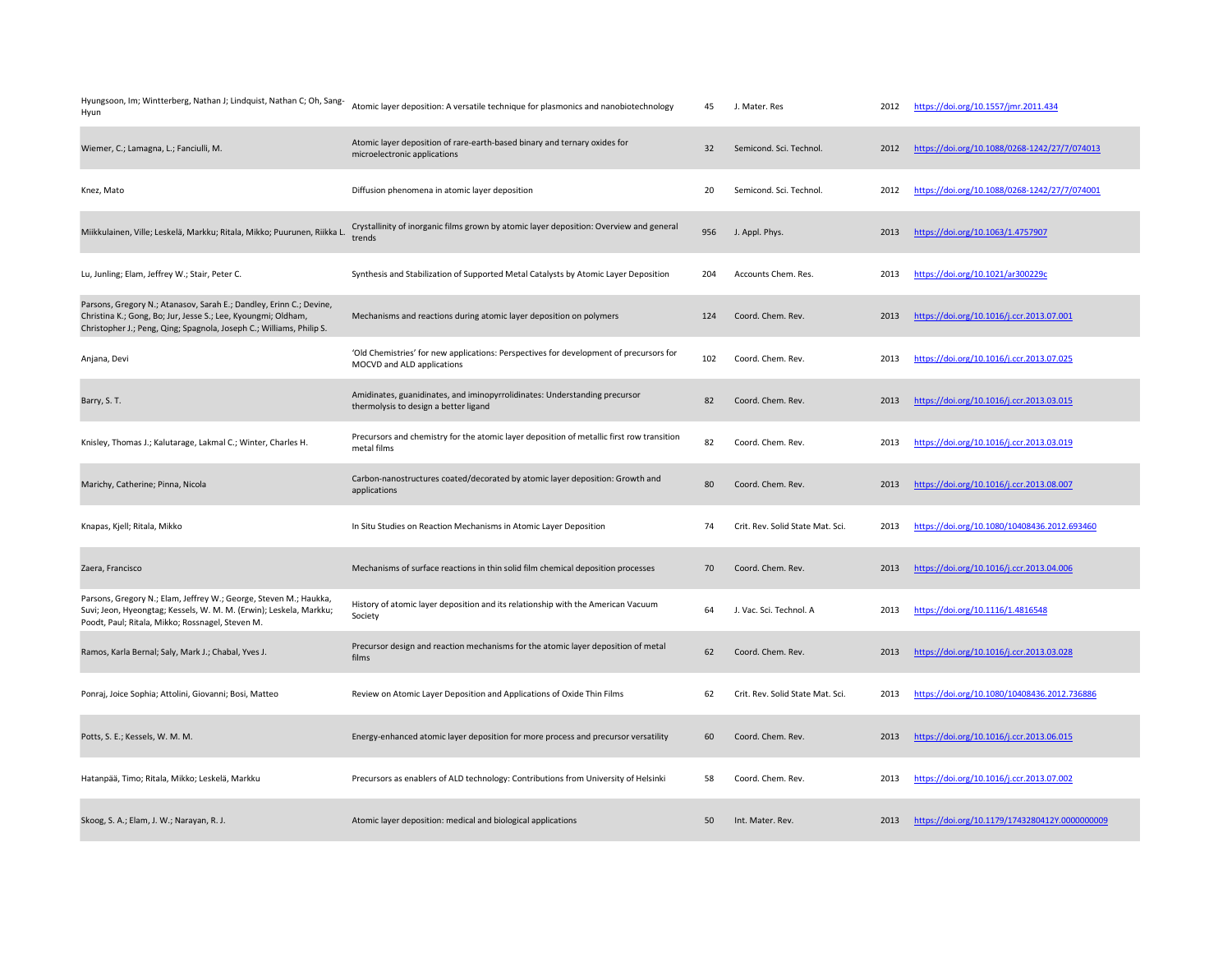| Hyungsoon, Im; Wintterberg, Nathan J; Lindquist, Nathan C; Oh, Sang-<br>Hyun                                                                                                                                 | Atomic layer deposition: A versatile technique for plasmonics and nanobiotechnology                                  | 45  | J. Mater. Res                    | 2012 | https://doi.org/10.1557/jmr.2011.434           |
|--------------------------------------------------------------------------------------------------------------------------------------------------------------------------------------------------------------|----------------------------------------------------------------------------------------------------------------------|-----|----------------------------------|------|------------------------------------------------|
| Wiemer, C.; Lamagna, L.; Fanciulli, M.                                                                                                                                                                       | Atomic layer deposition of rare-earth-based binary and ternary oxides for<br>microelectronic applications            | 32  | Semicond. Sci. Technol.          | 2012 | https://doi.org/10.1088/0268-1242/27/7/074013  |
| Knez, Mato                                                                                                                                                                                                   | Diffusion phenomena in atomic layer deposition                                                                       | 20  | Semicond, Sci. Technol.          | 2012 | https://doi.org/10.1088/0268-1242/27/7/074001  |
| Miikkulainen, Ville; Leskelä, Markku; Ritala, Mikko; Puurunen, Riikka L                                                                                                                                      | Crystallinity of inorganic films grown by atomic layer deposition: Overview and general<br>trends                    | 956 | J. Appl. Phys.                   | 2013 | https://doi.org/10.1063/1.4757907              |
| Lu, Junling; Elam, Jeffrey W.; Stair, Peter C.                                                                                                                                                               | Synthesis and Stabilization of Supported Metal Catalysts by Atomic Layer Deposition                                  | 204 | Accounts Chem. Res.              | 2013 | https://doi.org/10.1021/ar300229c              |
| Parsons, Gregory N.; Atanasov, Sarah E.; Dandley, Erinn C.; Devine,<br>Christina K.; Gong, Bo; Jur, Jesse S.; Lee, Kyoungmi; Oldham,<br>Christopher J.; Peng, Qing; Spagnola, Joseph C.; Williams, Philip S. | Mechanisms and reactions during atomic layer deposition on polymers                                                  | 124 | Coord. Chem. Rev.                | 2013 | https://doi.org/10.1016/j.ccr.2013.07.001      |
| Anjana, Devi                                                                                                                                                                                                 | 'Old Chemistries' for new applications: Perspectives for development of precursors for<br>MOCVD and ALD applications | 102 | Coord. Chem. Rev.                | 2013 | https://doi.org/10.1016/j.ccr.2013.07.025      |
| Barry, S. T.                                                                                                                                                                                                 | Amidinates, guanidinates, and iminopyrrolidinates: Understanding precursor<br>thermolysis to design a better ligand  | 82  | Coord. Chem. Rev.                | 2013 | https://doi.org/10.1016/j.ccr.2013.03.015      |
| Knisley, Thomas J.; Kalutarage, Lakmal C.; Winter, Charles H.                                                                                                                                                | Precursors and chemistry for the atomic layer deposition of metallic first row transition<br>metal films             | 82  | Coord. Chem. Rev.                | 2013 | https://doi.org/10.1016/j.ccr.2013.03.019      |
| Marichy, Catherine; Pinna, Nicola                                                                                                                                                                            | Carbon-nanostructures coated/decorated by atomic layer deposition: Growth and<br>applications                        | 80  | Coord. Chem. Rev.                | 2013 | https://doi.org/10.1016/j.ccr.2013.08.007      |
| Knapas, Kjell; Ritala, Mikko                                                                                                                                                                                 | In Situ Studies on Reaction Mechanisms in Atomic Layer Deposition                                                    | 74  | Crit. Rev. Solid State Mat. Sci. | 2013 | https://doi.org/10.1080/10408436.2012.693460   |
| Zaera, Francisco                                                                                                                                                                                             | Mechanisms of surface reactions in thin solid film chemical deposition processes                                     | 70  | Coord. Chem. Rev.                | 2013 | https://doi.org/10.1016/j.ccr.2013.04.006      |
| Parsons, Gregory N.; Elam, Jeffrey W.; George, Steven M.; Haukka,<br>Suvi; Jeon, Hyeongtag; Kessels, W. M. M. (Erwin); Leskela, Markku;<br>Poodt, Paul; Ritala, Mikko; Rossnagel, Steven M.                  | History of atomic layer deposition and its relationship with the American Vacuum<br>Society                          | 64  | J. Vac. Sci. Technol. A          | 2013 | https://doi.org/10.1116/1.4816548              |
| Ramos, Karla Bernal; Saly, Mark J.; Chabal, Yves J.                                                                                                                                                          | Precursor design and reaction mechanisms for the atomic layer deposition of metal<br>films                           | 62  | Coord. Chem. Rev.                | 2013 | https://doi.org/10.1016/j.ccr.2013.03.028      |
| Ponraj, Joice Sophia; Attolini, Giovanni; Bosi, Matteo                                                                                                                                                       | Review on Atomic Layer Deposition and Applications of Oxide Thin Films                                               | 62  | Crit. Rev. Solid State Mat. Sci. | 2013 | https://doi.org/10.1080/10408436.2012.736886   |
| Potts, S. E.; Kessels, W. M. M.                                                                                                                                                                              | Energy-enhanced atomic layer deposition for more process and precursor versatility                                   | 60  | Coord. Chem. Rev.                | 2013 | https://doi.org/10.1016/j.ccr.2013.06.015      |
| Hatanpää, Timo; Ritala, Mikko; Leskelä, Markku                                                                                                                                                               | Precursors as enablers of ALD technology: Contributions from University of Helsinki                                  | 58  | Coord. Chem. Rev.                | 2013 | https://doi.org/10.1016/j.ccr.2013.07.002      |
| Skoog, S. A.; Elam, J. W.; Narayan, R. J.                                                                                                                                                                    | Atomic layer deposition: medical and biological applications                                                         | 50  | Int. Mater. Rev.                 | 2013 | https://doi.org/10.1179/1743280412Y.0000000009 |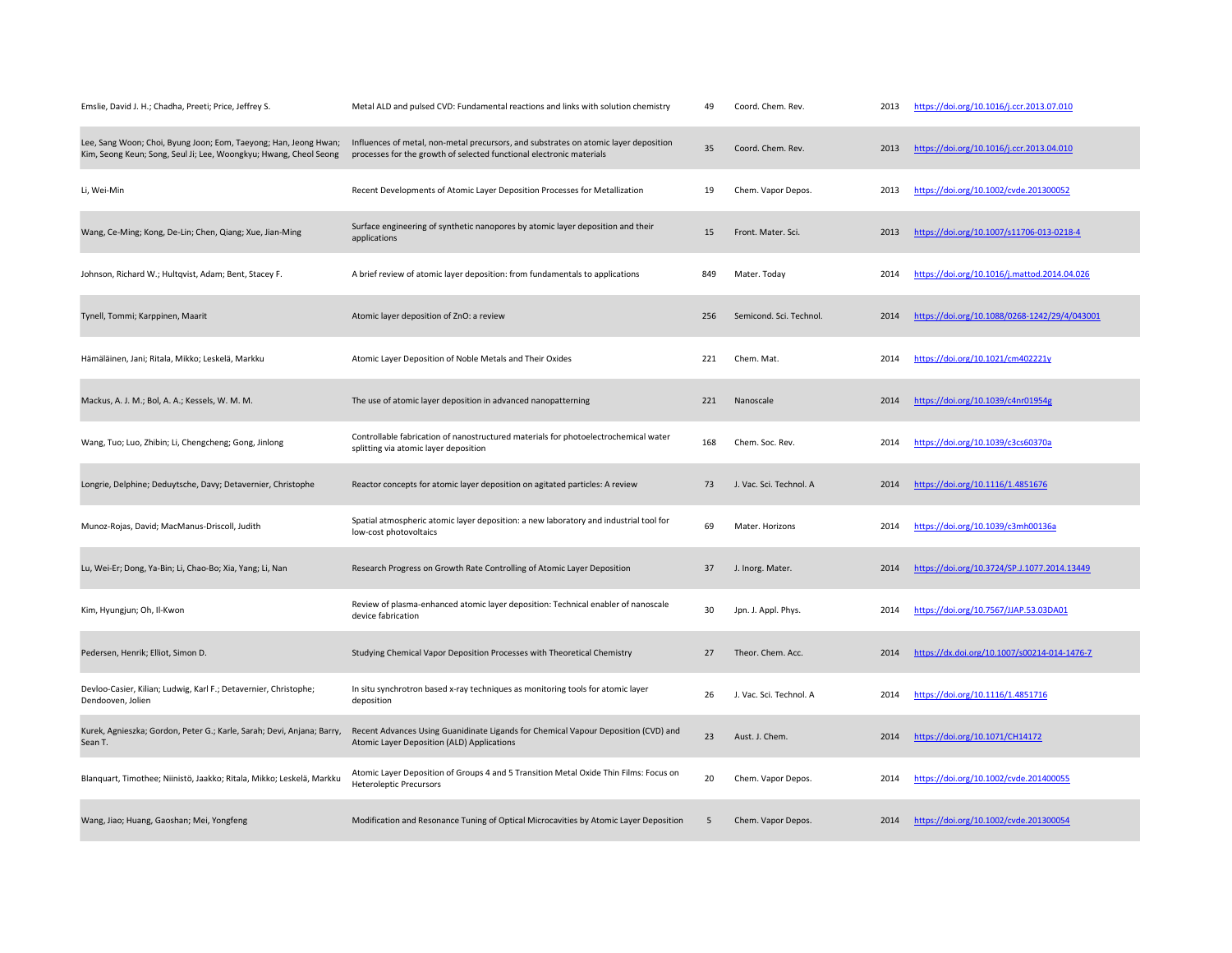| Emslie, David J. H.; Chadha, Preeti; Price, Jeffrey S.                                                                                | Metal ALD and pulsed CVD: Fundamental reactions and links with solution chemistry                                                                            | 49  | Coord. Chem. Rev.       | 2013 | https://doi.org/10.1016/j.ccr.2013.07.010     |
|---------------------------------------------------------------------------------------------------------------------------------------|--------------------------------------------------------------------------------------------------------------------------------------------------------------|-----|-------------------------|------|-----------------------------------------------|
| Lee, Sang Woon; Choi, Byung Joon; Eom, Taeyong; Han, Jeong Hwan;<br>Kim, Seong Keun; Song, Seul Ji; Lee, Woongkyu; Hwang, Cheol Seong | Influences of metal, non-metal precursors, and substrates on atomic layer deposition<br>processes for the growth of selected functional electronic materials | 35  | Coord. Chem. Rev.       | 2013 | https://doi.org/10.1016/j.ccr.2013.04.010     |
| Li, Wei-Min                                                                                                                           | Recent Developments of Atomic Layer Deposition Processes for Metallization                                                                                   | 19  | Chem. Vapor Depos.      | 2013 | https://doi.org/10.1002/cvde.201300052        |
| Wang, Ce-Ming; Kong, De-Lin; Chen, Qiang; Xue, Jian-Ming                                                                              | Surface engineering of synthetic nanopores by atomic layer deposition and their<br>applications                                                              | 15  | Front. Mater. Sci.      | 2013 | https://doi.org/10.1007/s11706-013-0218-4     |
| Johnson, Richard W.; Hultqvist, Adam; Bent, Stacey F.                                                                                 | A brief review of atomic layer deposition: from fundamentals to applications                                                                                 | 849 | Mater. Today            | 2014 | https://doi.org/10.1016/j.mattod.2014.04.026  |
| Tynell, Tommi; Karppinen, Maarit                                                                                                      | Atomic layer deposition of ZnO: a review                                                                                                                     | 256 | Semicond. Sci. Technol. | 2014 | https://doi.org/10.1088/0268-1242/29/4/043001 |
| Hämäläinen, Jani; Ritala, Mikko; Leskelä, Markku                                                                                      | Atomic Layer Deposition of Noble Metals and Their Oxides                                                                                                     | 221 | Chem. Mat.              | 2014 | https://doi.org/10.1021/cm402221y             |
| Mackus, A. J. M.; Bol, A. A.; Kessels, W. M. M.                                                                                       | The use of atomic layer deposition in advanced nanopatterning                                                                                                | 221 | Nanoscale               | 2014 | https://doi.org/10.1039/c4nr01954g            |
| Wang, Tuo; Luo, Zhibin; Li, Chengcheng; Gong, Jinlong                                                                                 | Controllable fabrication of nanostructured materials for photoelectrochemical water<br>splitting via atomic layer deposition                                 | 168 | Chem. Soc. Rev.         | 2014 | https://doi.org/10.1039/c3cs60370a            |
| Longrie, Delphine; Deduytsche, Davy; Detavernier, Christophe                                                                          | Reactor concepts for atomic layer deposition on agitated particles: A review                                                                                 | 73  | J. Vac. Sci. Technol. A | 2014 | https://doi.org/10.1116/1.4851676             |
| Munoz-Rojas, David; MacManus-Driscoll, Judith                                                                                         | Spatial atmospheric atomic layer deposition: a new laboratory and industrial tool for<br>low-cost photovoltaics                                              | 69  | Mater. Horizons         | 2014 | https://doi.org/10.1039/c3mh00136a            |
| Lu, Wei-Er; Dong, Ya-Bin; Li, Chao-Bo; Xia, Yang; Li, Nan                                                                             | Research Progress on Growth Rate Controlling of Atomic Layer Deposition                                                                                      | 37  | J. Inorg. Mater.        | 2014 | https://doi.org/10.3724/SP.J.1077.2014.13449  |
| Kim, Hyungjun; Oh, Il-Kwon                                                                                                            | Review of plasma-enhanced atomic layer deposition: Technical enabler of nanoscale<br>device fabrication                                                      | 30  | Jpn. J. Appl. Phys.     | 2014 | https://doi.org/10.7567/JJAP.53.03DA01        |
| Pedersen, Henrik; Elliot, Simon D.                                                                                                    | Studying Chemical Vapor Deposition Processes with Theoretical Chemistry                                                                                      | 27  | Theor. Chem. Acc.       | 2014 | https://dx.doi.org/10.1007/s00214-014-1476-7  |
| Devloo-Casier, Kilian; Ludwig, Karl F.; Detavernier, Christophe;<br>Dendooven, Jolien                                                 | In situ synchrotron based x-ray techniques as monitoring tools for atomic layer<br>deposition                                                                | 26  | J. Vac. Sci. Technol. A | 2014 | https://doi.org/10.1116/1.4851716             |
| Kurek, Agnieszka; Gordon, Peter G.; Karle, Sarah; Devi, Anjana; Barry,<br>Sean T.                                                     | Recent Advances Using Guanidinate Ligands for Chemical Vapour Deposition (CVD) and<br>Atomic Layer Deposition (ALD) Applications                             | 23  | Aust. J. Chem.          | 2014 | https://doi.org/10.1071/CH14172               |
| Blanquart, Timothee; Niinistö, Jaakko; Ritala, Mikko; Leskelä, Markku                                                                 | Atomic Layer Deposition of Groups 4 and 5 Transition Metal Oxide Thin Films: Focus on<br><b>Heteroleptic Precursors</b>                                      | 20  | Chem. Vapor Depos.      | 2014 | https://doi.org/10.1002/cvde.201400055        |
| Wang, Jiao; Huang, Gaoshan; Mei, Yongfeng                                                                                             | Modification and Resonance Tuning of Optical Microcavities by Atomic Layer Deposition                                                                        | 5   | Chem. Vapor Depos.      | 2014 | https://doi.org/10.1002/cvde.201300054        |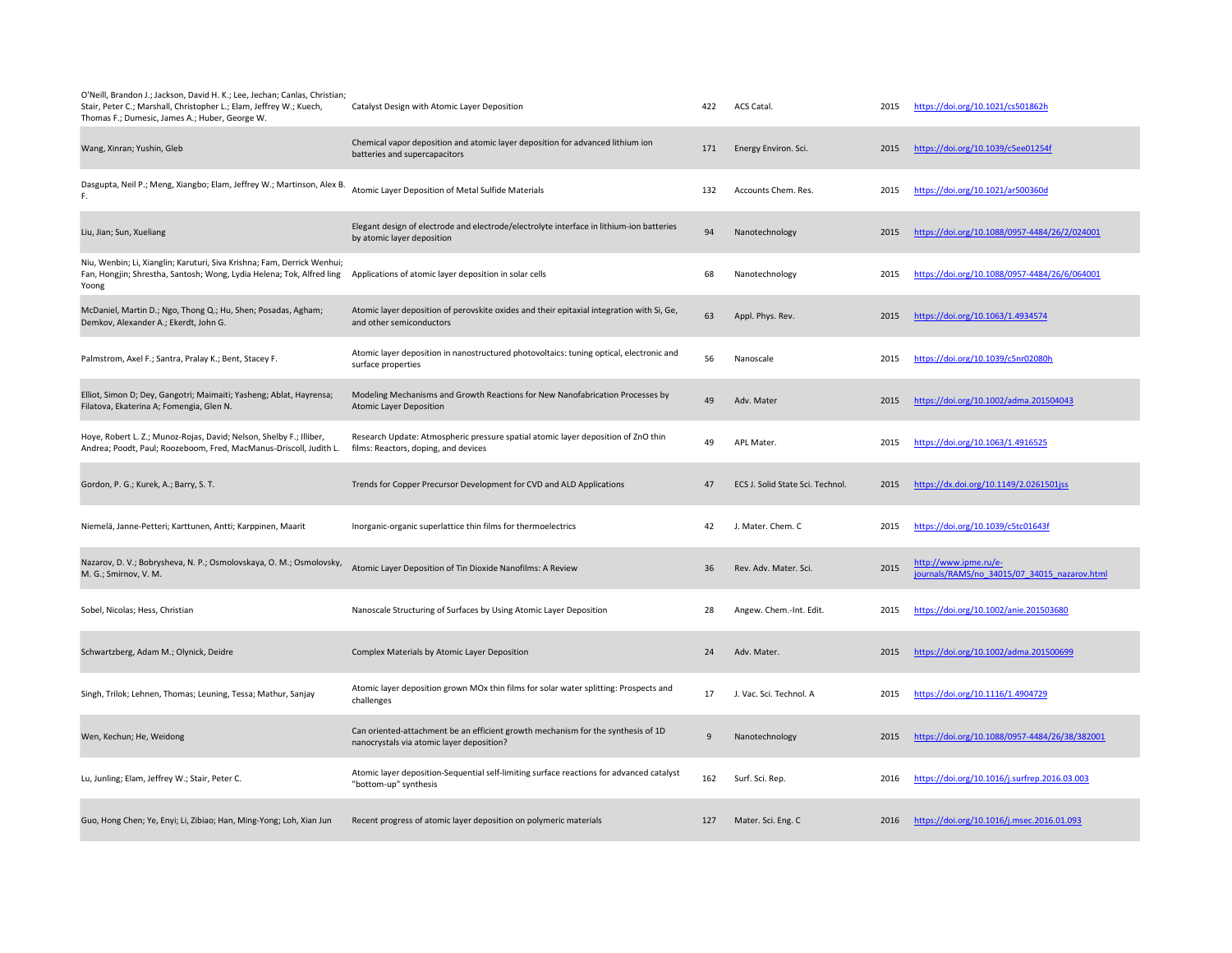| O'Neill, Brandon J.; Jackson, David H. K.; Lee, Jechan; Canlas, Christian;<br>Stair, Peter C.; Marshall, Christopher L.; Elam, Jeffrey W.; Kuech,<br>Thomas F.; Dumesic, James A.; Huber, George W. | Catalyst Design with Atomic Layer Deposition                                                                                  | 422 | ACS Catal.                       | 2015 | https://doi.org/10.1021/cs501862h                                     |
|-----------------------------------------------------------------------------------------------------------------------------------------------------------------------------------------------------|-------------------------------------------------------------------------------------------------------------------------------|-----|----------------------------------|------|-----------------------------------------------------------------------|
| Wang, Xinran; Yushin, Gleb                                                                                                                                                                          | Chemical vapor deposition and atomic layer deposition for advanced lithium ion<br>batteries and supercapacitors               | 171 | Energy Environ. Sci.             | 2015 | https://doi.org/10.1039/c5ee01254f                                    |
| Dasgupta, Neil P.; Meng, Xiangbo; Elam, Jeffrey W.; Martinson, Alex B.                                                                                                                              | Atomic Layer Deposition of Metal Sulfide Materials                                                                            | 132 | Accounts Chem. Res.              | 2015 | https://doi.org/10.1021/ar500360d                                     |
| Liu, Jian; Sun, Xueliang                                                                                                                                                                            | Elegant design of electrode and electrode/electrolyte interface in lithium-ion batteries<br>by atomic layer deposition        | 94  | Nanotechnology                   | 2015 | https://doi.org/10.1088/0957-4484/26/2/024001                         |
| Niu, Wenbin; Li, Xianglin; Karuturi, Siva Krishna; Fam, Derrick Wenhui;<br>Fan, Hongjin; Shrestha, Santosh; Wong, Lydia Helena; Tok, Alfred ling<br>Yoong                                           | Applications of atomic layer deposition in solar cells                                                                        | 68  | Nanotechnology                   | 2015 | https://doi.org/10.1088/0957-4484/26/6/064001                         |
| McDaniel, Martin D.; Ngo, Thong Q.; Hu, Shen; Posadas, Agham;<br>Demkov, Alexander A.; Ekerdt, John G.                                                                                              | Atomic layer deposition of perovskite oxides and their epitaxial integration with Si, Ge,<br>and other semiconductors         | 63  | Appl. Phys. Rev.                 | 2015 | https://doi.org/10.1063/1.4934574                                     |
| Palmstrom, Axel F.; Santra, Pralay K.; Bent, Stacey F.                                                                                                                                              | Atomic layer deposition in nanostructured photovoltaics: tuning optical, electronic and<br>surface properties                 | 56  | Nanoscale                        | 2015 | https://doi.org/10.1039/c5nr02080h                                    |
| Elliot, Simon D; Dey, Gangotri; Maimaiti; Yasheng; Ablat, Hayrensa;<br>Filatova, Ekaterina A; Fomengia, Glen N.                                                                                     | Modeling Mechanisms and Growth Reactions for New Nanofabrication Processes by<br><b>Atomic Layer Deposition</b>               | 49  | Adv. Mater                       | 2015 | https://doi.org/10.1002/adma.201504043                                |
| Hoye, Robert L. Z.; Munoz-Rojas, David; Nelson, Shelby F.; Illiber,<br>Andrea; Poodt, Paul; Roozeboom, Fred, MacManus-Driscoll, Judith L.                                                           | Research Update: Atmospheric pressure spatial atomic layer deposition of ZnO thin<br>films: Reactors, doping, and devices     | 49  | APL Mater.                       | 2015 | https://doi.org/10.1063/1.4916525                                     |
| Gordon, P. G.; Kurek, A.; Barry, S. T.                                                                                                                                                              | Trends for Copper Precursor Development for CVD and ALD Applications                                                          | 47  | ECS J. Solid State Sci. Technol. | 2015 | https://dx.doi.org/10.1149/2.0261501jss                               |
| Niemelä, Janne-Petteri; Karttunen, Antti; Karppinen, Maarit                                                                                                                                         | Inorganic-organic superlattice thin films for thermoelectrics                                                                 | 42  | J. Mater. Chem. C                | 2015 | https://doi.org/10.1039/c5tc01643f                                    |
| Nazarov, D. V.; Bobrysheva, N. P.; Osmolovskaya, O. M.; Osmolovsky,<br>M. G.; Smirnov, V. M.                                                                                                        | Atomic Layer Deposition of Tin Dioxide Nanofilms: A Review                                                                    | 36  | Rev. Adv. Mater. Sci.            | 2015 | http://www.ipme.ru/e-<br>journals/RAMS/no 34015/07 34015 nazarov.html |
| Sobel, Nicolas; Hess, Christian                                                                                                                                                                     | Nanoscale Structuring of Surfaces by Using Atomic Layer Deposition                                                            | 28  | Angew. Chem.-Int. Edit.          | 2015 | https://doi.org/10.1002/anie.201503680                                |
| Schwartzberg, Adam M.; Olynick, Deidre                                                                                                                                                              | Complex Materials by Atomic Layer Deposition                                                                                  | 24  | Adv. Mater.                      | 2015 | https://doi.org/10.1002/adma.201500699                                |
| Singh, Trilok; Lehnen, Thomas; Leuning, Tessa; Mathur, Sanjay                                                                                                                                       | Atomic layer deposition grown MOx thin films for solar water splitting: Prospects and<br>challenges                           | 17  | J. Vac. Sci. Technol. A          | 2015 | https://doi.org/10.1116/1.4904729                                     |
| Wen, Kechun; He, Weidong                                                                                                                                                                            | Can oriented-attachment be an efficient growth mechanism for the synthesis of 1D<br>nanocrystals via atomic layer deposition? | 9   | Nanotechnology                   | 2015 | https://doi.org/10.1088/0957-4484/26/38/382001                        |
| Lu, Junling; Elam, Jeffrey W.; Stair, Peter C.                                                                                                                                                      | Atomic layer deposition-Sequential self-limiting surface reactions for advanced catalyst<br>"bottom-up" synthesis             | 162 | Surf. Sci. Rep.                  | 2016 | https://doi.org/10.1016/j.surfrep.2016.03.003                         |
| Guo, Hong Chen; Ye, Enyi; Li, Zibiao; Han, Ming-Yong; Loh, Xian Jun                                                                                                                                 | Recent progress of atomic layer deposition on polymeric materials                                                             | 127 | Mater. Sci. Eng. C               | 2016 | https://doi.org/10.1016/j.msec.2016.01.093                            |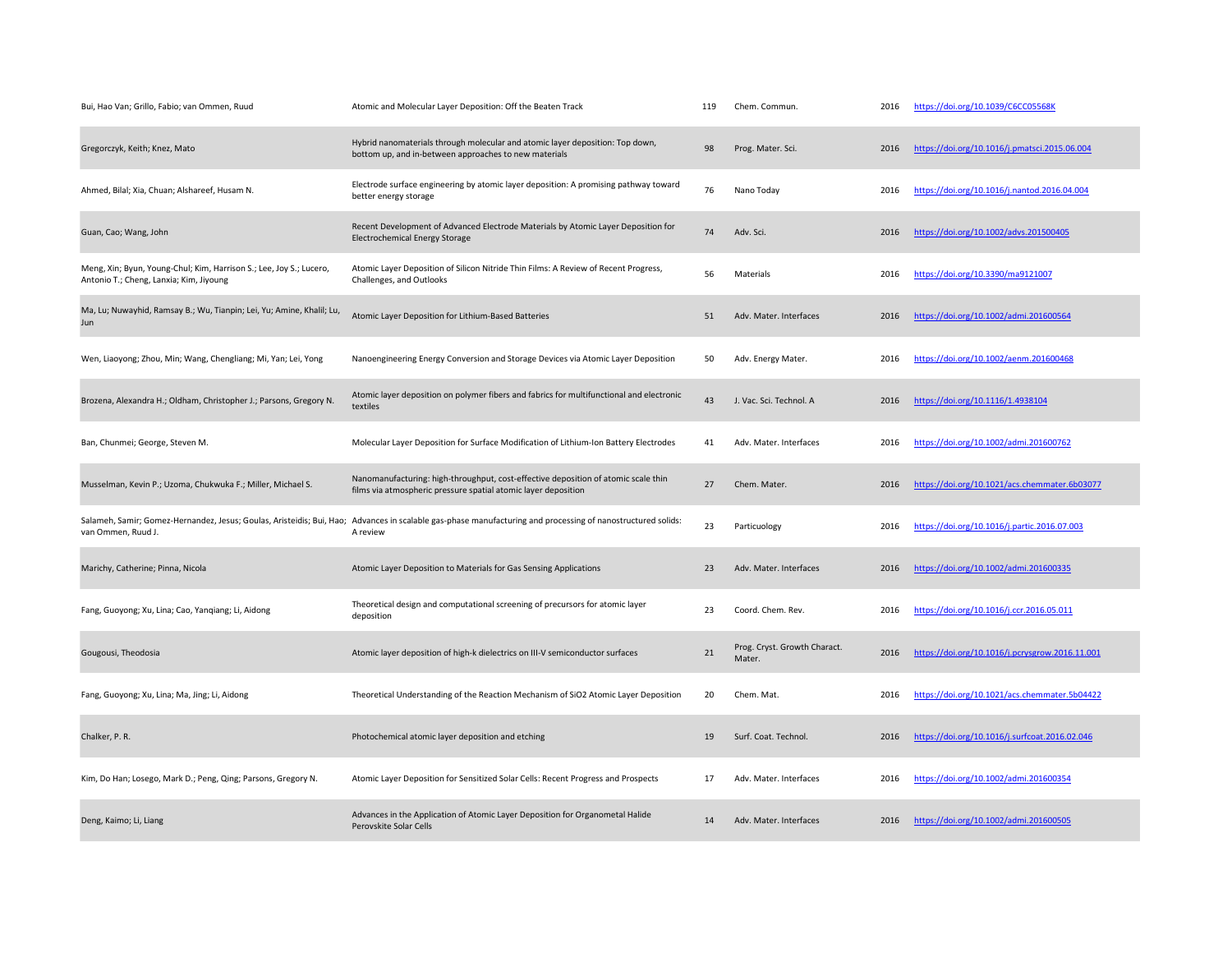| Bui, Hao Van; Grillo, Fabio; van Ommen, Ruud                                                                   | Atomic and Molecular Layer Deposition: Off the Beaten Track                                                                                                             | 119 | Chem. Commun.                          | 2016 | https://doi.org/10.1039/C6CC05568K              |
|----------------------------------------------------------------------------------------------------------------|-------------------------------------------------------------------------------------------------------------------------------------------------------------------------|-----|----------------------------------------|------|-------------------------------------------------|
| Gregorczyk, Keith; Knez, Mato                                                                                  | Hybrid nanomaterials through molecular and atomic layer deposition: Top down,<br>bottom up, and in-between approaches to new materials                                  | 98  | Prog. Mater. Sci.                      | 2016 | https://doi.org/10.1016/j.pmatsci.2015.06.004   |
| Ahmed, Bilal; Xia, Chuan; Alshareef, Husam N.                                                                  | Electrode surface engineering by atomic layer deposition: A promising pathway toward<br>better energy storage                                                           | 76  | Nano Today                             | 2016 | https://doi.org/10.1016/j.nantod.2016.04.004    |
| Guan, Cao; Wang, John                                                                                          | Recent Development of Advanced Electrode Materials by Atomic Layer Deposition for<br>Electrochemical Energy Storage                                                     | 74  | Adv. Sci.                              | 2016 | https://doi.org/10.1002/advs.201500405          |
| Meng, Xin; Byun, Young-Chul; Kim, Harrison S.; Lee, Joy S.; Lucero,<br>Antonio T.; Cheng, Lanxia; Kim, Jiyoung | Atomic Layer Deposition of Silicon Nitride Thin Films: A Review of Recent Progress,<br>Challenges, and Outlooks                                                         | 56  | Materials                              | 2016 | https://doi.org/10.3390/ma9121007               |
| Ma, Lu; Nuwayhid, Ramsay B.; Wu, Tianpin; Lei, Yu; Amine, Khalil; Lu,<br>Jun                                   | Atomic Layer Deposition for Lithium-Based Batteries                                                                                                                     | 51  | Adv. Mater. Interfaces                 | 2016 | https://doi.org/10.1002/admi.201600564          |
| Wen, Liaoyong; Zhou, Min; Wang, Chengliang; Mi, Yan; Lei, Yong                                                 | Nanoengineering Energy Conversion and Storage Devices via Atomic Layer Deposition                                                                                       | 50  | Adv. Energy Mater.                     | 2016 | https://doi.org/10.1002/aenm.201600468          |
| Brozena, Alexandra H.; Oldham, Christopher J.; Parsons, Gregory N.                                             | Atomic layer deposition on polymer fibers and fabrics for multifunctional and electronic<br>textiles                                                                    | 43  | J. Vac. Sci. Technol. A                | 2016 | https://doi.org/10.1116/1.4938104               |
| Ban, Chunmei; George, Steven M.                                                                                | Molecular Layer Deposition for Surface Modification of Lithium-Ion Battery Electrodes                                                                                   | 41  | Adv. Mater. Interfaces                 | 2016 | https://doi.org/10.1002/admi.201600762          |
| Musselman, Kevin P.; Uzoma, Chukwuka F.; Miller, Michael S.                                                    | Nanomanufacturing: high-throughput, cost-effective deposition of atomic scale thin<br>films via atmospheric pressure spatial atomic layer deposition                    | 27  | Chem. Mater.                           | 2016 | https://doi.org/10.1021/acs.chemmater.6b03077   |
| van Ommen, Ruud J.                                                                                             | Salameh, Samir; Gomez-Hernandez, Jesus; Goulas, Aristeidis; Bui, Hao; Advances in scalable gas-phase manufacturing and processing of nanostructured solids:<br>A review | 23  | Particuology                           | 2016 | https://doi.org/10.1016/j.partic.2016.07.003    |
| Marichy, Catherine; Pinna, Nicola                                                                              | Atomic Layer Deposition to Materials for Gas Sensing Applications                                                                                                       | 23  | Adv. Mater. Interfaces                 | 2016 | https://doi.org/10.1002/admi.201600335          |
| Fang, Guoyong; Xu, Lina; Cao, Yanqiang; Li, Aidong                                                             | Theoretical design and computational screening of precursors for atomic layer<br>deposition                                                                             | 23  | Coord. Chem. Rev.                      | 2016 | https://doi.org/10.1016/j.ccr.2016.05.011       |
| Gougousi, Theodosia                                                                                            | Atomic layer deposition of high-k dielectrics on III-V semiconductor surfaces                                                                                           | 21  | Prog. Cryst. Growth Charact.<br>Mater. | 2016 | https://doi.org/10.1016/j.pcrysgrow.2016.11.001 |
| Fang, Guoyong; Xu, Lina; Ma, Jing; Li, Aidong                                                                  | Theoretical Understanding of the Reaction Mechanism of SiO2 Atomic Layer Deposition                                                                                     | 20  | Chem. Mat.                             | 2016 | https://doi.org/10.1021/acs.chemmater.5b04422   |
| Chalker, P. R.                                                                                                 | Photochemical atomic layer deposition and etching                                                                                                                       | 19  | Surf. Coat. Technol.                   | 2016 | https://doi.org/10.1016/j.surfcoat.2016.02.046  |
| Kim, Do Han; Losego, Mark D.; Peng, Qing; Parsons, Gregory N.                                                  | Atomic Layer Deposition for Sensitized Solar Cells: Recent Progress and Prospects                                                                                       | 17  | Adv. Mater. Interfaces                 | 2016 | https://doi.org/10.1002/admi.201600354          |
| Deng, Kaimo; Li, Liang                                                                                         | Advances in the Application of Atomic Layer Deposition for Organometal Halide<br>Perovskite Solar Cells                                                                 | 14  | Adv. Mater. Interfaces                 | 2016 | https://doi.org/10.1002/admi.201600505          |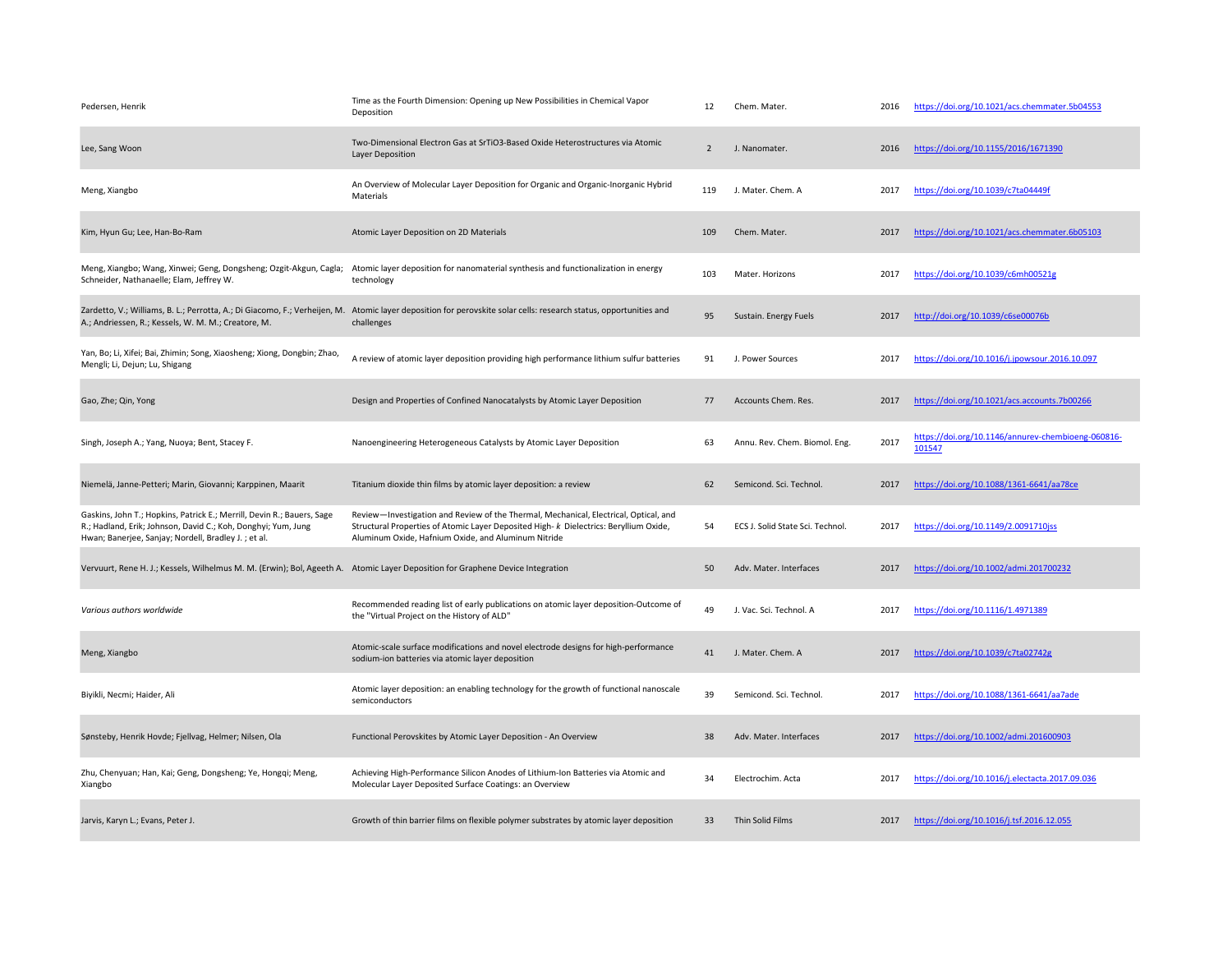| Pedersen, Henrik                                                                                                                                                                               | Time as the Fourth Dimension: Opening up New Possibilities in Chemical Vapor<br>Deposition                                                                                                                                           | 12             | Chem. Mater.                     | 2016 | https://doi.org/10.1021/acs.chemmater.5b04553                |
|------------------------------------------------------------------------------------------------------------------------------------------------------------------------------------------------|--------------------------------------------------------------------------------------------------------------------------------------------------------------------------------------------------------------------------------------|----------------|----------------------------------|------|--------------------------------------------------------------|
| Lee, Sang Woon                                                                                                                                                                                 | Two-Dimensional Electron Gas at SrTiO3-Based Oxide Heterostructures via Atomic<br>Layer Deposition                                                                                                                                   | $\overline{2}$ | J. Nanomater.                    | 2016 | https://doi.org/10.1155/2016/1671390                         |
| Meng, Xiangbo                                                                                                                                                                                  | An Overview of Molecular Layer Deposition for Organic and Organic-Inorganic Hybrid<br>Materials                                                                                                                                      | 119            | J. Mater. Chem. A                | 2017 | https://doi.org/10.1039/c7ta04449f                           |
| Kim, Hyun Gu; Lee, Han-Bo-Ram                                                                                                                                                                  | Atomic Layer Deposition on 2D Materials                                                                                                                                                                                              | 109            | Chem. Mater.                     | 2017 | https://doi.org/10.1021/acs.chemmater.6b05103                |
| Meng, Xiangbo; Wang, Xinwei; Geng, Dongsheng; Ozgit-Akgun, Cagla;<br>Schneider, Nathanaelle; Elam, Jeffrey W.                                                                                  | Atomic layer deposition for nanomaterial synthesis and functionalization in energy<br>technology                                                                                                                                     | 103            | Mater, Horizons                  | 2017 | https://doi.org/10.1039/c6mh00521g                           |
| A.; Andriessen, R.; Kessels, W. M. M.; Creatore, M.                                                                                                                                            | Zardetto, V.; Williams, B. L.; Perrotta, A.; Di Giacomo, F.; Verheijen, M. Atomic layer deposition for perovskite solar cells: research status, opportunities and<br>challenges                                                      | 95             | Sustain. Energy Fuels            | 2017 | http://doi.org/10.1039/c6se00076b                            |
| Yan, Bo; Li, Xifei; Bai, Zhimin; Song, Xiaosheng; Xiong, Dongbin; Zhao,<br>Mengli; Li, Dejun; Lu, Shigang                                                                                      | A review of atomic layer deposition providing high performance lithium sulfur batteries                                                                                                                                              | 91             | J. Power Sources                 | 2017 | https://doi.org/10.1016/j.jpowsour.2016.10.097               |
| Gao, Zhe; Qin, Yong                                                                                                                                                                            | Design and Properties of Confined Nanocatalysts by Atomic Layer Deposition                                                                                                                                                           | 77             | Accounts Chem. Res.              | 2017 | https://doi.org/10.1021/acs.accounts.7b00266                 |
| Singh, Joseph A.; Yang, Nuoya; Bent, Stacey F.                                                                                                                                                 | Nanoengineering Heterogeneous Catalysts by Atomic Layer Deposition                                                                                                                                                                   | 63             | Annu. Rev. Chem. Biomol. Eng.    | 2017 | https://doi.org/10.1146/annurev-chembioeng-060816-<br>101547 |
| Niemelä, Janne-Petteri; Marin, Giovanni; Karppinen, Maarit                                                                                                                                     | Titanium dioxide thin films by atomic layer deposition: a review                                                                                                                                                                     | 62             | Semicond. Sci. Technol.          | 2017 | https://doi.org/10.1088/1361-6641/aa78ce                     |
| Gaskins, John T.; Hopkins, Patrick E.; Merrill, Devin R.; Bauers, Sage<br>R.; Hadland, Erik; Johnson, David C.; Koh, Donghyi; Yum, Jung<br>Hwan; Banerjee, Sanjay; Nordell, Bradley J.; et al. | Review-Investigation and Review of the Thermal, Mechanical, Electrical, Optical, and<br>Structural Properties of Atomic Layer Deposited High- k Dielectrics: Beryllium Oxide,<br>Aluminum Oxide, Hafnium Oxide, and Aluminum Nitride | 54             | ECS J. Solid State Sci. Technol. | 2017 | https://doi.org/10.1149/2.0091710jss                         |
| Vervuurt, Rene H. J.; Kessels, Wilhelmus M. M. (Erwin); Bol, Ageeth A. Atomic Layer Deposition for Graphene Device Integration                                                                 |                                                                                                                                                                                                                                      | 50             | Adv. Mater. Interfaces           | 2017 | https://doi.org/10.1002/admi.201700232                       |
| Various authors worldwide                                                                                                                                                                      | Recommended reading list of early publications on atomic layer deposition-Outcome of<br>the "Virtual Project on the History of ALD"                                                                                                  | 49             | J. Vac. Sci. Technol. A          | 2017 | https://doi.org/10.1116/1.4971389                            |
| Meng, Xiangbo                                                                                                                                                                                  | Atomic-scale surface modifications and novel electrode designs for high-performance<br>sodium-ion batteries via atomic layer deposition                                                                                              | 41             | J. Mater. Chem. A                | 2017 | https://doi.org/10.1039/c7ta02742g                           |
| Biyikli, Necmi; Haider, Ali                                                                                                                                                                    | Atomic layer deposition: an enabling technology for the growth of functional nanoscale<br>semiconductors                                                                                                                             | 39             | Semicond. Sci. Technol.          | 2017 | https://doi.org/10.1088/1361-6641/aa7ade                     |
| Sønsteby, Henrik Hovde; Fjellvag, Helmer; Nilsen, Ola                                                                                                                                          | Functional Perovskites by Atomic Layer Deposition - An Overview                                                                                                                                                                      | 38             | Adv. Mater. Interfaces           | 2017 | https://doi.org/10.1002/admi.201600903                       |
| Zhu, Chenyuan; Han, Kai; Geng, Dongsheng; Ye, Hongqi; Meng,<br>Xiangbo                                                                                                                         | Achieving High-Performance Silicon Anodes of Lithium-Ion Batteries via Atomic and<br>Molecular Layer Deposited Surface Coatings: an Overview                                                                                         | 34             | Electrochim. Acta                | 2017 | https://doi.org/10.1016/j.electacta.2017.09.036              |
| Jarvis, Karyn L.; Evans, Peter J.                                                                                                                                                              | Growth of thin barrier films on flexible polymer substrates by atomic layer deposition                                                                                                                                               | 33             | Thin Solid Films                 | 2017 | https://doi.org/10.1016/j.tsf.2016.12.055                    |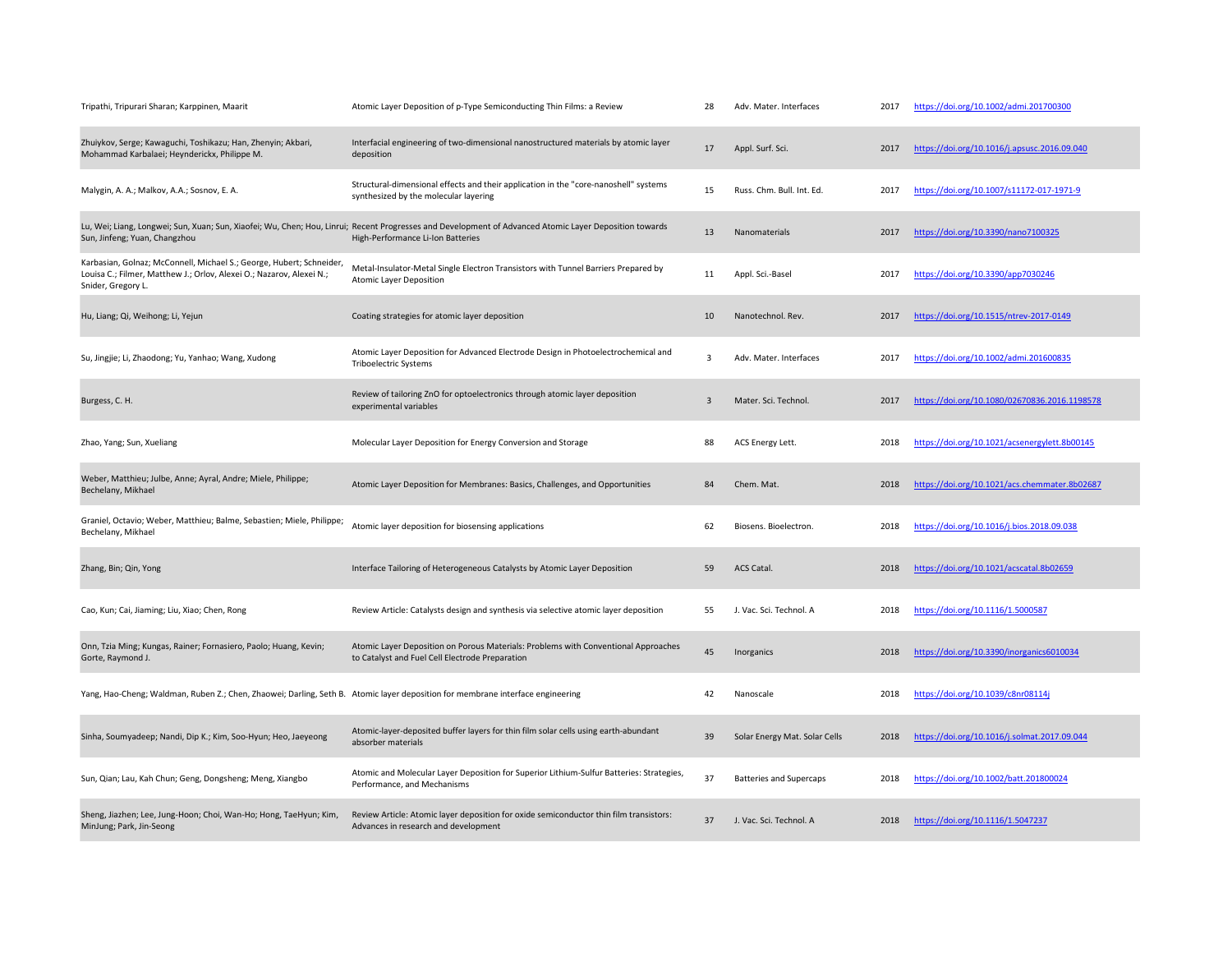| Tripathi, Tripurari Sharan; Karppinen, Maarit                                                                                                                      | Atomic Layer Deposition of p-Type Semiconducting Thin Films: a Review                                                                                                                       | 28             | Adv. Mater. Interfaces         | 2017 | https://doi.org/10.1002/admi.201700300        |
|--------------------------------------------------------------------------------------------------------------------------------------------------------------------|---------------------------------------------------------------------------------------------------------------------------------------------------------------------------------------------|----------------|--------------------------------|------|-----------------------------------------------|
| Zhuiykov, Serge; Kawaguchi, Toshikazu; Han, Zhenyin; Akbari,<br>Mohammad Karbalaei; Heynderickx, Philippe M.                                                       | Interfacial engineering of two-dimensional nanostructured materials by atomic layer<br>deposition                                                                                           | 17             | Appl. Surf. Sci.               | 2017 | https://doi.org/10.1016/j.apsusc.2016.09.040  |
| Malygin, A. A.; Malkov, A.A.; Sosnov, E. A.                                                                                                                        | Structural-dimensional effects and their application in the "core-nanoshell" systems<br>synthesized by the molecular layering                                                               | 15             | Russ. Chm. Bull. Int. Ed.      | 2017 | https://doi.org/10.1007/s11172-017-1971-9     |
| Sun, Jinfeng; Yuan, Changzhou                                                                                                                                      | Lu, Wei; Liang, Longwei; Sun, Xuan; Sun, Xiaofei; Wu, Chen; Hou, Linrui; Recent Progresses and Development of Advanced Atomic Layer Deposition towards<br>High-Performance Li-Ion Batteries | 13             | Nanomaterials                  | 2017 | https://doi.org/10.3390/nano7100325           |
| Karbasian, Golnaz; McConnell, Michael S.; George, Hubert; Schneider,<br>Louisa C.; Filmer, Matthew J.; Orlov, Alexei O.; Nazarov, Alexei N.;<br>Snider, Gregory L. | Metal-Insulator-Metal Single Electron Transistors with Tunnel Barriers Prepared by<br><b>Atomic Layer Deposition</b>                                                                        | 11             | Appl. Sci.-Basel               | 2017 | https://doi.org/10.3390/app7030246            |
| Hu, Liang; Qi, Weihong; Li, Yejun                                                                                                                                  | Coating strategies for atomic layer deposition                                                                                                                                              | 10             | Nanotechnol. Rev.              | 2017 | https://doi.org/10.1515/ntrev-2017-0149       |
| Su, Jingjie; Li, Zhaodong; Yu, Yanhao; Wang, Xudong                                                                                                                | Atomic Layer Deposition for Advanced Electrode Design in Photoelectrochemical and<br><b>Triboelectric Systems</b>                                                                           | 3              | Adv. Mater. Interfaces         | 2017 | https://doi.org/10.1002/admi.201600835        |
| Burgess, C. H.                                                                                                                                                     | Review of tailoring ZnO for optoelectronics through atomic layer deposition<br>experimental variables                                                                                       | $\overline{3}$ | Mater. Sci. Technol.           | 2017 | https://doi.org/10.1080/02670836.2016.1198578 |
| Zhao, Yang; Sun, Xueliang                                                                                                                                          | Molecular Layer Deposition for Energy Conversion and Storage                                                                                                                                | 88             | ACS Energy Lett.               | 2018 | https://doi.org/10.1021/acsenergylett.8b00145 |
| Weber, Matthieu; Julbe, Anne; Ayral, Andre; Miele, Philippe;<br>Bechelany, Mikhael                                                                                 | Atomic Layer Deposition for Membranes: Basics, Challenges, and Opportunities                                                                                                                | 84             | Chem. Mat.                     | 2018 | https://doi.org/10.1021/acs.chemmater.8b02687 |
| Graniel, Octavio; Weber, Matthieu; Balme, Sebastien; Miele, Philippe;<br>Bechelany, Mikhael                                                                        | Atomic layer deposition for biosensing applications                                                                                                                                         | 62             | Biosens. Bioelectron.          | 2018 | https://doi.org/10.1016/j.bios.2018.09.038    |
| Zhang, Bin; Qin, Yong                                                                                                                                              | Interface Tailoring of Heterogeneous Catalysts by Atomic Layer Deposition                                                                                                                   | 59             | <b>ACS Catal.</b>              | 2018 | https://doi.org/10.1021/acscatal.8b02659      |
| Cao, Kun; Cai, Jiaming; Liu, Xiao; Chen, Rong                                                                                                                      | Review Article: Catalysts design and synthesis via selective atomic layer deposition                                                                                                        | 55             | J. Vac. Sci. Technol. A        | 2018 | https://doi.org/10.1116/1.5000587             |
| Onn, Tzia Ming; Kungas, Rainer; Fornasiero, Paolo; Huang, Kevin;<br>Gorte, Raymond J.                                                                              | Atomic Layer Deposition on Porous Materials: Problems with Conventional Approaches<br>to Catalyst and Fuel Cell Electrode Preparation                                                       | 45             | Inorganics                     | 2018 | https://doi.org/10.3390/inorganics6010034     |
| Yang, Hao-Cheng; Waldman, Ruben Z.; Chen, Zhaowei; Darling, Seth B. Atomic layer deposition for membrane interface engineering                                     |                                                                                                                                                                                             | 42             | Nanoscale                      | 2018 | https://doi.org/10.1039/c8nr08114j            |
| Sinha, Soumyadeep; Nandi, Dip K.; Kim, Soo-Hyun; Heo, Jaeyeong                                                                                                     | Atomic-layer-deposited buffer layers for thin film solar cells using earth-abundant<br>absorber materials                                                                                   | 39             | Solar Energy Mat. Solar Cells  | 2018 | https://doi.org/10.1016/j.solmat.2017.09.044  |
| Sun, Qian; Lau, Kah Chun; Geng, Dongsheng; Meng, Xiangbo                                                                                                           | Atomic and Molecular Layer Deposition for Superior Lithium-Sulfur Batteries: Strategies,<br>Performance, and Mechanisms                                                                     | 37             | <b>Batteries and Supercaps</b> | 2018 | https://doi.org/10.1002/batt.201800024        |
| Sheng, Jiazhen; Lee, Jung-Hoon; Choi, Wan-Ho; Hong, TaeHyun; Kim,<br>MinJung; Park, Jin-Seong                                                                      | Review Article: Atomic layer deposition for oxide semiconductor thin film transistors:<br>Advances in research and development                                                              | 37             | J. Vac. Sci. Technol. A        | 2018 | https://doi.org/10.1116/1.5047237             |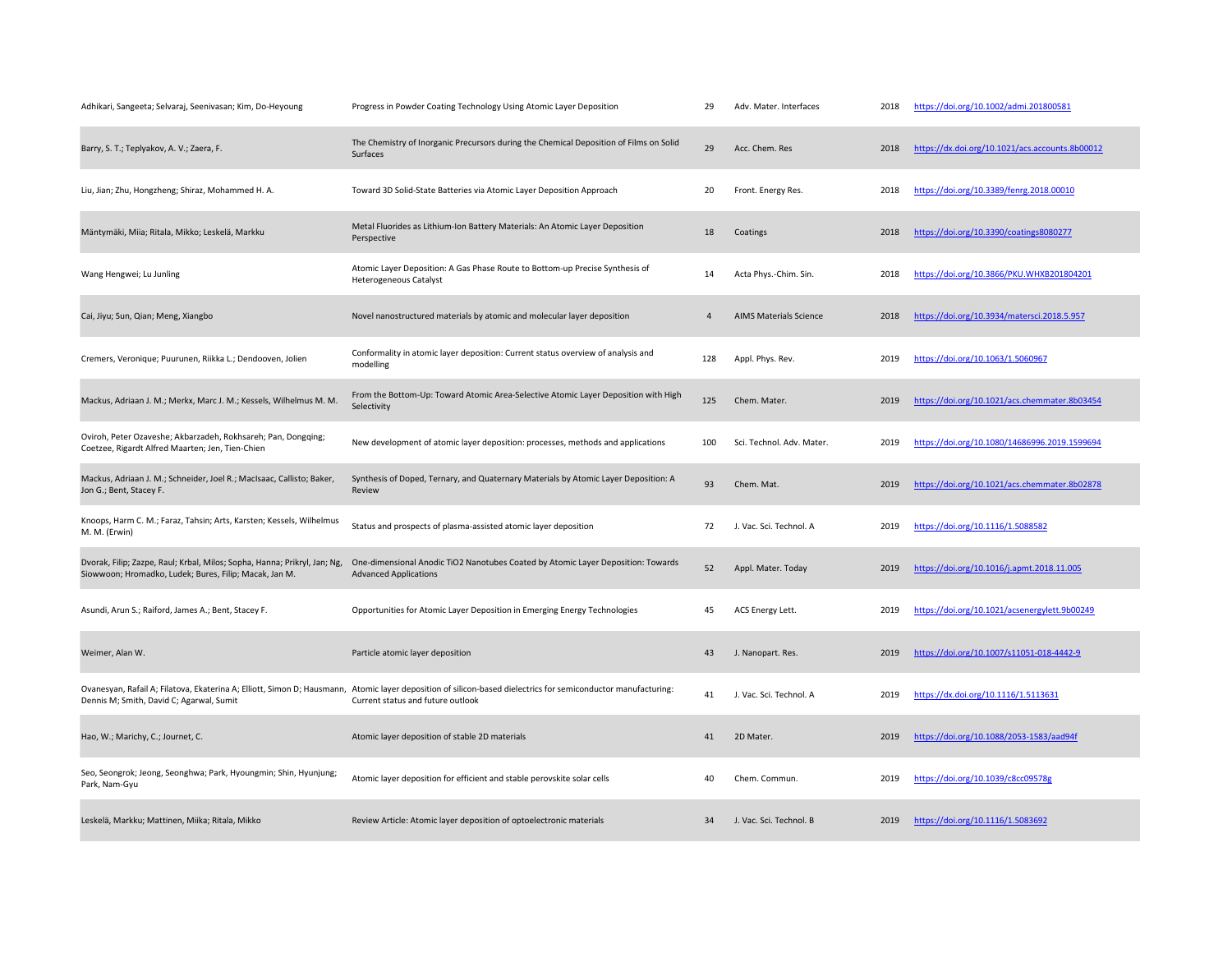| Adhikari, Sangeeta; Selvaraj, Seenivasan; Kim, Do-Heyoung                                                                           | Progress in Powder Coating Technology Using Atomic Layer Deposition                                                                                                                                | 29  | Adv. Mater. Interfaces        | 2018 | https://doi.org/10.1002/admi.201800581          |
|-------------------------------------------------------------------------------------------------------------------------------------|----------------------------------------------------------------------------------------------------------------------------------------------------------------------------------------------------|-----|-------------------------------|------|-------------------------------------------------|
| Barry, S. T.; Teplyakov, A. V.; Zaera, F.                                                                                           | The Chemistry of Inorganic Precursors during the Chemical Deposition of Films on Solid<br>Surfaces                                                                                                 | 29  | Acc. Chem. Res                | 2018 | https://dx.doi.org/10.1021/acs.accounts.8b00012 |
| Liu, Jian; Zhu, Hongzheng; Shiraz, Mohammed H. A.                                                                                   | Toward 3D Solid-State Batteries via Atomic Layer Deposition Approach                                                                                                                               | 20  | Front. Energy Res.            | 2018 | https://doi.org/10.3389/fenrg.2018.00010        |
| Mäntymäki, Miia; Ritala, Mikko; Leskelä, Markku                                                                                     | Metal Fluorides as Lithium-Ion Battery Materials: An Atomic Layer Deposition<br>Perspective                                                                                                        | 18  | Coatings                      | 2018 | https://doi.org/10.3390/coatings8080277         |
| Wang Hengwei; Lu Junling                                                                                                            | Atomic Layer Deposition: A Gas Phase Route to Bottom-up Precise Synthesis of<br><b>Heterogeneous Catalyst</b>                                                                                      | 14  | Acta Phys.-Chim. Sin.         | 2018 | https://doi.org/10.3866/PKU.WHXB201804201       |
| Cai, Jiyu; Sun, Qian; Meng, Xiangbo                                                                                                 | Novel nanostructured materials by atomic and molecular layer deposition                                                                                                                            | 4   | <b>AIMS Materials Science</b> | 2018 | https://doi.org/10.3934/matersci.2018.5.957     |
| Cremers, Veronique; Puurunen, Riikka L.; Dendooven, Jolien                                                                          | Conformality in atomic layer deposition: Current status overview of analysis and<br>modelling                                                                                                      | 128 | Appl. Phys. Rev.              | 2019 | https://doi.org/10.1063/1.5060967               |
| Mackus, Adriaan J. M.; Merkx, Marc J. M.; Kessels, Wilhelmus M. M.                                                                  | From the Bottom-Up: Toward Atomic Area-Selective Atomic Layer Deposition with High<br>Selectivity                                                                                                  | 125 | Chem. Mater.                  | 2019 | https://doi.org/10.1021/acs.chemmater.8b03454   |
| Oviroh, Peter Ozaveshe; Akbarzadeh, Rokhsareh; Pan, Dongqing;<br>Coetzee, Rigardt Alfred Maarten; Jen, Tien-Chien                   | New development of atomic layer deposition: processes, methods and applications                                                                                                                    | 100 | Sci. Technol. Adv. Mater.     | 2019 | https://doi.org/10.1080/14686996.2019.1599694   |
| Mackus, Adriaan J. M.; Schneider, Joel R.; MacIsaac, Callisto; Baker,<br>Jon G.; Bent, Stacey F.                                    | Synthesis of Doped, Ternary, and Quaternary Materials by Atomic Layer Deposition: A<br>Review                                                                                                      | 93  | Chem. Mat.                    | 2019 | https://doi.org/10.1021/acs.chemmater.8b02878   |
| Knoops, Harm C. M.; Faraz, Tahsin; Arts, Karsten; Kessels, Wilhelmus<br>M. M. (Erwin)                                               | Status and prospects of plasma-assisted atomic layer deposition                                                                                                                                    | 72  | J. Vac. Sci. Technol. A       | 2019 | https://doi.org/10.1116/1.5088582               |
| Dvorak, Filip; Zazpe, Raul; Krbal, Milos; Sopha, Hanna; Prikryl, Jan; Ng,<br>Siowwoon; Hromadko, Ludek; Bures, Filip; Macak, Jan M. | One-dimensional Anodic TiO2 Nanotubes Coated by Atomic Layer Deposition: Towards<br><b>Advanced Applications</b>                                                                                   | 52  | Appl. Mater. Today            | 2019 | https://doi.org/10.1016/j.apmt.2018.11.005      |
| Asundi, Arun S.; Raiford, James A.; Bent, Stacey F.                                                                                 | Opportunities for Atomic Layer Deposition in Emerging Energy Technologies                                                                                                                          | 45  | ACS Energy Lett.              | 2019 | https://doi.org/10.1021/acsenergylett.9b00249   |
| Weimer, Alan W.                                                                                                                     | Particle atomic layer deposition                                                                                                                                                                   | 43  | J. Nanopart. Res.             | 2019 | https://doi.org/10.1007/s11051-018-4442-9       |
| Dennis M; Smith, David C; Agarwal, Sumit                                                                                            | Ovanesyan, Rafail A; Filatova, Ekaterina A; Elliott, Simon D; Hausmann, Atomic layer deposition of silicon-based dielectrics for semiconductor manufacturing:<br>Current status and future outlook | 41  | J. Vac. Sci. Technol. A       | 2019 | https://dx.doi.org/10.1116/1.5113631            |
| Hao, W.; Marichy, C.; Journet, C.                                                                                                   | Atomic layer deposition of stable 2D materials                                                                                                                                                     | 41  | 2D Mater.                     | 2019 | https://doi.org/10.1088/2053-1583/aad94f        |
| Seo, Seongrok; Jeong, Seonghwa; Park, Hyoungmin; Shin, Hyunjung;<br>Park, Nam-Gyu                                                   | Atomic layer deposition for efficient and stable perovskite solar cells                                                                                                                            | 40  | Chem. Commun.                 | 2019 | https://doi.org/10.1039/c8cc09578g              |
| Leskelä, Markku; Mattinen, Miika; Ritala, Mikko                                                                                     | Review Article: Atomic layer deposition of optoelectronic materials                                                                                                                                | 34  | J. Vac. Sci. Technol. B       | 2019 | https://doi.org/10.1116/1.5083692               |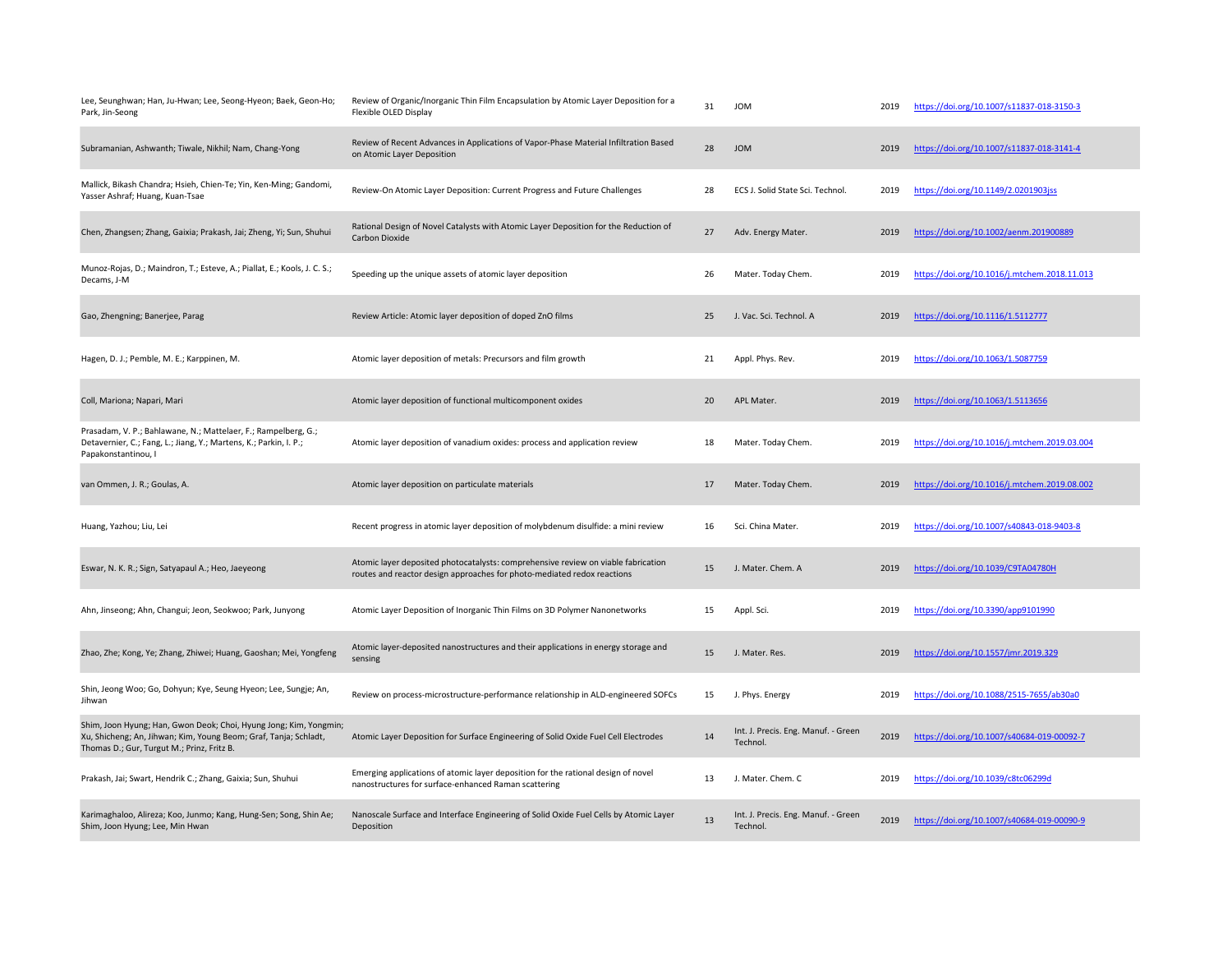| Lee, Seunghwan; Han, Ju-Hwan; Lee, Seong-Hyeon; Baek, Geon-Ho;<br>Park, Jin-Seong                                                                                                   | Review of Organic/Inorganic Thin Film Encapsulation by Atomic Layer Deposition for a<br>Flexible OLED Display                                                | 31 | <b>JOM</b>                                      | 2019 | https://doi.org/10.1007/s11837-018-3150-3    |
|-------------------------------------------------------------------------------------------------------------------------------------------------------------------------------------|--------------------------------------------------------------------------------------------------------------------------------------------------------------|----|-------------------------------------------------|------|----------------------------------------------|
| Subramanian, Ashwanth; Tiwale, Nikhil; Nam, Chang-Yong                                                                                                                              | Review of Recent Advances in Applications of Vapor-Phase Material Infiltration Based<br>on Atomic Layer Deposition                                           | 28 | <b>JOM</b>                                      | 2019 | https://doi.org/10.1007/s11837-018-3141-4    |
| Mallick, Bikash Chandra; Hsieh, Chien-Te; Yin, Ken-Ming; Gandomi,<br>Yasser Ashraf; Huang, Kuan-Tsae                                                                                | Review-On Atomic Layer Deposition: Current Progress and Future Challenges                                                                                    | 28 | ECS J. Solid State Sci. Technol.                | 2019 | https://doi.org/10.1149/2.0201903jss         |
| Chen, Zhangsen; Zhang, Gaixia; Prakash, Jai; Zheng, Yi; Sun, Shuhui                                                                                                                 | Rational Design of Novel Catalysts with Atomic Layer Deposition for the Reduction of<br>Carbon Dioxide                                                       | 27 | Adv. Energy Mater.                              | 2019 | https://doi.org/10.1002/aenm.201900889       |
| Munoz-Rojas, D.; Maindron, T.; Esteve, A.; Piallat, E.; Kools, J. C. S.;<br>Decams, J-M                                                                                             | Speeding up the unique assets of atomic layer deposition                                                                                                     | 26 | Mater. Today Chem.                              | 2019 | https://doi.org/10.1016/j.mtchem.2018.11.013 |
| Gao, Zhengning; Banerjee, Parag                                                                                                                                                     | Review Article: Atomic layer deposition of doped ZnO films                                                                                                   | 25 | J. Vac. Sci. Technol. A                         | 2019 | https://doi.org/10.1116/1.5112777            |
| Hagen, D. J.; Pemble, M. E.; Karppinen, M.                                                                                                                                          | Atomic layer deposition of metals: Precursors and film growth                                                                                                | 21 | Appl. Phys. Rev.                                | 2019 | https://doi.org/10.1063/1.5087759            |
| Coll, Mariona; Napari, Mari                                                                                                                                                         | Atomic layer deposition of functional multicomponent oxides                                                                                                  | 20 | APL Mater.                                      | 2019 | https://doi.org/10.1063/1.5113656            |
| Prasadam, V. P.; Bahlawane, N.; Mattelaer, F.; Rampelberg, G.;<br>Detavernier, C.; Fang, L.; Jiang, Y.; Martens, K.; Parkin, I. P.;<br>Papakonstantinou, I                          | Atomic layer deposition of vanadium oxides: process and application review                                                                                   | 18 | Mater. Today Chem.                              | 2019 | https://doi.org/10.1016/j.mtchem.2019.03.004 |
| van Ommen, J. R.; Goulas, A.                                                                                                                                                        | Atomic layer deposition on particulate materials                                                                                                             | 17 | Mater. Today Chem.                              | 2019 | https://doi.org/10.1016/j.mtchem.2019.08.002 |
| Huang, Yazhou; Liu, Lei                                                                                                                                                             | Recent progress in atomic layer deposition of molybdenum disulfide: a mini review                                                                            | 16 | Sci. China Mater.                               | 2019 | https://doi.org/10.1007/s40843-018-9403-8    |
| Eswar, N. K. R.; Sign, Satyapaul A.; Heo, Jaeyeong                                                                                                                                  | Atomic layer deposited photocatalysts: comprehensive review on viable fabrication<br>routes and reactor design approaches for photo-mediated redox reactions | 15 | J. Mater, Chem. A                               | 2019 | https://doi.org/10.1039/C9TA04780H           |
| Ahn, Jinseong; Ahn, Changui; Jeon, Seokwoo; Park, Junyong                                                                                                                           | Atomic Layer Deposition of Inorganic Thin Films on 3D Polymer Nanonetworks                                                                                   | 15 | Appl. Sci.                                      | 2019 | https://doi.org/10.3390/app9101990           |
| Zhao, Zhe; Kong, Ye; Zhang, Zhiwei; Huang, Gaoshan; Mei, Yongfeng                                                                                                                   | Atomic layer-deposited nanostructures and their applications in energy storage and<br>sensing                                                                | 15 | J. Mater. Res.                                  | 2019 | https://doi.org/10.1557/jmr.2019.329         |
| Shin, Jeong Woo; Go, Dohyun; Kye, Seung Hyeon; Lee, Sungje; An,<br>Jihwan                                                                                                           | Review on process-microstructure-performance relationship in ALD-engineered SOFCs                                                                            | 15 | J. Phys. Energy                                 | 2019 | https://doi.org/10.1088/2515-7655/ab30a0     |
| Shim, Joon Hyung; Han, Gwon Deok; Choi, Hyung Jong; Kim, Yongmin;<br>Xu, Shicheng; An, Jihwan; Kim, Young Beom; Graf, Tanja; Schladt,<br>Thomas D.; Gur, Turgut M.; Prinz, Fritz B. | Atomic Layer Deposition for Surface Engineering of Solid Oxide Fuel Cell Electrodes                                                                          | 14 | Int. J. Precis. Eng. Manuf. - Green<br>Technol. | 2019 | https://doi.org/10.1007/s40684-019-00092-7   |
| Prakash, Jai; Swart, Hendrik C.; Zhang, Gaixia; Sun, Shuhui                                                                                                                         | Emerging applications of atomic layer deposition for the rational design of novel<br>nanostructures for surface-enhanced Raman scattering                    | 13 | J. Mater. Chem. C                               | 2019 | https://doi.org/10.1039/c8tc06299d           |
| Karimaghaloo, Alireza; Koo, Junmo; Kang, Hung-Sen; Song, Shin Ae;<br>Shim, Joon Hyung; Lee, Min Hwan                                                                                | Nanoscale Surface and Interface Engineering of Solid Oxide Fuel Cells by Atomic Layer<br>Deposition                                                          | 13 | Int. J. Precis. Eng. Manuf. - Green<br>Technol. | 2019 | https://doi.org/10.1007/s40684-019-00090-9   |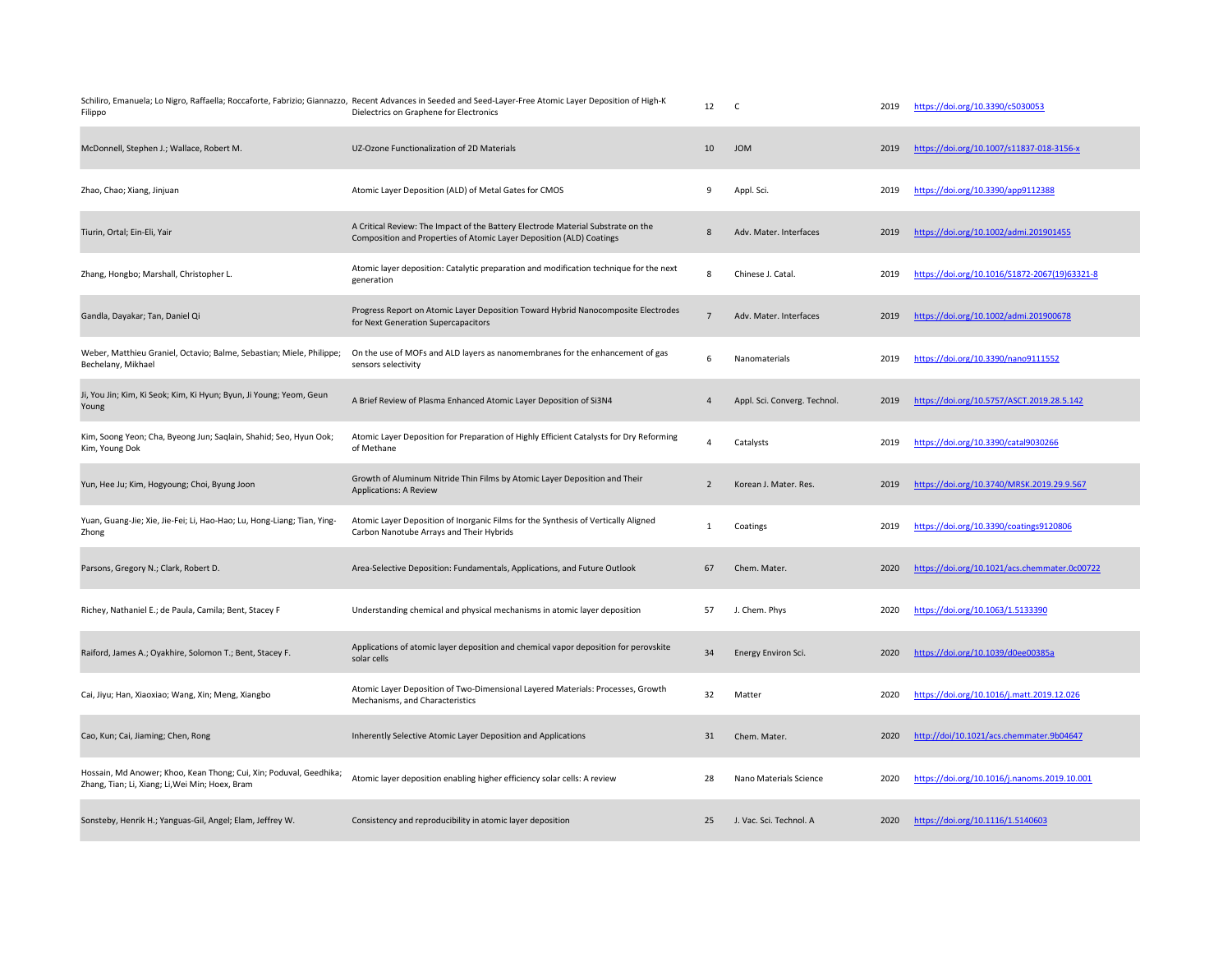| Filippo                                                                                                               | Schiliro, Emanuela; Lo Nigro, Raffaella; Roccaforte, Fabrizio; Giannazzo, Recent Advances in Seeded and Seed-Layer-Free Atomic Layer Deposition of High-K<br>Dielectrics on Graphene for Electronics | 12             | $\mathsf{C}$                 | 2019 | https://doi.org/10.3390/c5030053              |
|-----------------------------------------------------------------------------------------------------------------------|------------------------------------------------------------------------------------------------------------------------------------------------------------------------------------------------------|----------------|------------------------------|------|-----------------------------------------------|
| McDonnell, Stephen J.; Wallace, Robert M.                                                                             | UZ-Ozone Functionalization of 2D Materials                                                                                                                                                           | 10             | <b>JOM</b>                   | 2019 | https://doi.org/10.1007/s11837-018-3156-x     |
| Zhao, Chao; Xiang, Jinjuan                                                                                            | Atomic Layer Deposition (ALD) of Metal Gates for CMOS                                                                                                                                                | 9              | Appl. Sci.                   | 2019 | https://doi.org/10.3390/app9112388            |
| Tiurin, Ortal; Ein-Eli, Yair                                                                                          | A Critical Review: The Impact of the Battery Electrode Material Substrate on the<br>Composition and Properties of Atomic Layer Deposition (ALD) Coatings                                             | 8              | Adv. Mater. Interfaces       | 2019 | https://doi.org/10.1002/admi.201901455        |
| Zhang, Hongbo; Marshall, Christopher L.                                                                               | Atomic layer deposition: Catalytic preparation and modification technique for the next<br>generation                                                                                                 | 8              | Chinese J. Catal.            | 2019 | https://doi.org/10.1016/S1872-2067(19)63321-8 |
| Gandla, Dayakar; Tan, Daniel Qi                                                                                       | Progress Report on Atomic Layer Deposition Toward Hybrid Nanocomposite Electrodes<br>for Next Generation Supercapacitors                                                                             | $\overline{7}$ | Adv. Mater. Interfaces       | 2019 | https://doi.org/10.1002/admi.201900678        |
| Weber, Matthieu Graniel, Octavio; Balme, Sebastian; Miele, Philippe;<br>Bechelany, Mikhael                            | On the use of MOFs and ALD layers as nanomembranes for the enhancement of gas<br>sensors selectivity                                                                                                 | 6              | Nanomaterials                | 2019 | https://doi.org/10.3390/nano9111552           |
| Ji, You Jin; Kim, Ki Seok; Kim, Ki Hyun; Byun, Ji Young; Yeom, Geun<br>Young                                          | A Brief Review of Plasma Enhanced Atomic Layer Deposition of Si3N4                                                                                                                                   | 4              | Appl. Sci. Converg. Technol. | 2019 | https://doi.org/10.5757/ASCT.2019.28.5.142    |
| Kim, Soong Yeon; Cha, Byeong Jun; Saqlain, Shahid; Seo, Hyun Ook;<br>Kim, Young Dok                                   | Atomic Layer Deposition for Preparation of Highly Efficient Catalysts for Dry Reforming<br>of Methane                                                                                                | 4              | Catalysts                    | 2019 | https://doi.org/10.3390/catal9030266          |
| Yun, Hee Ju; Kim, Hogyoung; Choi, Byung Joon                                                                          | Growth of Aluminum Nitride Thin Films by Atomic Layer Deposition and Their<br><b>Applications: A Review</b>                                                                                          | $\overline{2}$ | Korean J. Mater. Res.        | 2019 | https://doi.org/10.3740/MRSK.2019.29.9.567    |
| Yuan, Guang-Jie; Xie, Jie-Fei; Li, Hao-Hao; Lu, Hong-Liang; Tian, Ying-<br>Zhong                                      | Atomic Layer Deposition of Inorganic Films for the Synthesis of Vertically Aligned<br>Carbon Nanotube Arrays and Their Hybrids                                                                       | $\mathbf{1}$   | Coatings                     | 2019 | https://doi.org/10.3390/coatings9120806       |
| Parsons, Gregory N.; Clark, Robert D.                                                                                 | Area-Selective Deposition: Fundamentals, Applications, and Future Outlook                                                                                                                            | 67             | Chem. Mater.                 | 2020 | https://doi.org/10.1021/acs.chemmater.0c00722 |
| Richey, Nathaniel E.; de Paula, Camila; Bent, Stacey F                                                                | Understanding chemical and physical mechanisms in atomic layer deposition                                                                                                                            | 57             | J. Chem. Phys                | 2020 | https://doi.org/10.1063/1.5133390             |
| Raiford, James A.; Oyakhire, Solomon T.; Bent, Stacey F.                                                              | Applications of atomic layer deposition and chemical vapor deposition for perovskite<br>solar cells                                                                                                  | 34             | Energy Environ Sci.          | 2020 | https://doi.org/10.1039/d0ee00385a            |
| Cai, Jiyu; Han, Xiaoxiao; Wang, Xin; Meng, Xiangbo                                                                    | Atomic Layer Deposition of Two-Dimensional Layered Materials: Processes, Growth<br>Mechanisms, and Characteristics                                                                                   | 32             | Matter                       | 2020 | https://doi.org/10.1016/j.matt.2019.12.026    |
| Cao, Kun; Cai, Jiaming; Chen, Rong                                                                                    | Inherently Selective Atomic Layer Deposition and Applications                                                                                                                                        | 31             | Chem. Mater.                 | 2020 | http://doi/10.1021/acs.chemmater.9b04647      |
| Hossain, Md Anower; Khoo, Kean Thong; Cui, Xin; Poduval, Geedhika;<br>Zhang, Tian; Li, Xiang; Li, Wei Min; Hoex, Bram | Atomic layer deposition enabling higher efficiency solar cells: A review                                                                                                                             | 28             | Nano Materials Science       | 2020 | https://doi.org/10.1016/j.nanoms.2019.10.001  |
| Sonsteby, Henrik H.; Yanguas-Gil, Angel; Elam, Jeffrey W.                                                             | Consistency and reproducibility in atomic layer deposition                                                                                                                                           | 25             | J. Vac. Sci. Technol. A      | 2020 | https://doi.org/10.1116/1.5140603             |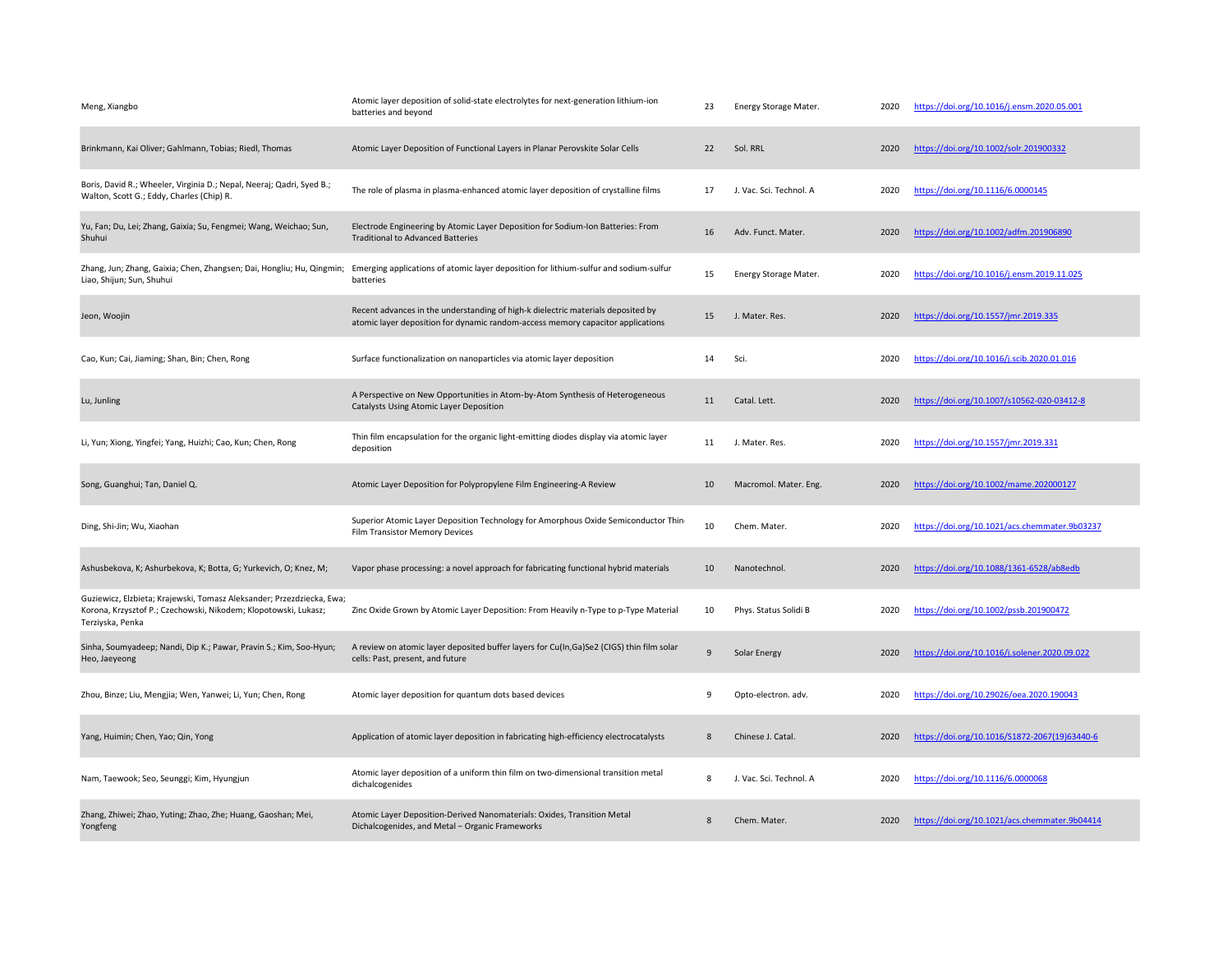| Meng, Xiangbo                                                                                                                                                | Atomic layer deposition of solid-state electrolytes for next-generation lithium-ion<br>batteries and beyond                                                         | 23             | Energy Storage Mater.   | 2020 | https://doi.org/10.1016/j.ensm.2020.05.001    |
|--------------------------------------------------------------------------------------------------------------------------------------------------------------|---------------------------------------------------------------------------------------------------------------------------------------------------------------------|----------------|-------------------------|------|-----------------------------------------------|
| Brinkmann, Kai Oliver; Gahlmann, Tobias; Riedl, Thomas                                                                                                       | Atomic Layer Deposition of Functional Layers in Planar Perovskite Solar Cells                                                                                       | 22             | Sol. RRL                | 2020 | https://doi.org/10.1002/solr.201900332        |
| Boris, David R.; Wheeler, Virginia D.; Nepal, Neeraj; Qadri, Syed B.;<br>Walton, Scott G.; Eddy, Charles (Chip) R.                                           | The role of plasma in plasma-enhanced atomic layer deposition of crystalline films                                                                                  | 17             | J. Vac. Sci. Technol. A | 2020 | https://doi.org/10.1116/6.0000145             |
| Yu, Fan; Du, Lei; Zhang, Gaixia; Su, Fengmei; Wang, Weichao; Sun,<br>Shuhui                                                                                  | Electrode Engineering by Atomic Layer Deposition for Sodium-Ion Batteries: From<br><b>Traditional to Advanced Batteries</b>                                         | 16             | Adv. Funct. Mater.      | 2020 | https://doi.org/10.1002/adfm.201906890        |
| Zhang, Jun; Zhang, Gaixia; Chen, Zhangsen; Dai, Hongliu; Hu, Qingmin;<br>Liao, Shijun; Sun, Shuhui                                                           | Emerging applications of atomic layer deposition for lithium-sulfur and sodium-sulfur<br>batteries                                                                  | 15             | Energy Storage Mater.   | 2020 | https://doi.org/10.1016/j.ensm.2019.11.025    |
| Jeon, Woojin                                                                                                                                                 | Recent advances in the understanding of high-k dielectric materials deposited by<br>atomic layer deposition for dynamic random-access memory capacitor applications | 15             | J. Mater. Res.          | 2020 | https://doi.org/10.1557/jmr.2019.335          |
| Cao, Kun; Cai, Jiaming; Shan, Bin; Chen, Rong                                                                                                                | Surface functionalization on nanoparticles via atomic layer deposition                                                                                              | 14             | Sci.                    | 2020 | https://doi.org/10.1016/j.scib.2020.01.016    |
| Lu, Junling                                                                                                                                                  | A Perspective on New Opportunities in Atom-by-Atom Synthesis of Heterogeneous<br>Catalysts Using Atomic Layer Deposition                                            | 11             | Catal. Lett.            | 2020 | https://doi.org/10.1007/s10562-020-03412-8    |
| Li, Yun; Xiong, Yingfei; Yang, Huizhi; Cao, Kun; Chen, Rong                                                                                                  | Thin film encapsulation for the organic light-emitting diodes display via atomic layer<br>deposition                                                                | 11             | J. Mater. Res.          | 2020 | https://doi.org/10.1557/jmr.2019.331          |
| Song, Guanghui; Tan, Daniel Q.                                                                                                                               | Atomic Layer Deposition for Polypropylene Film Engineering-A Review                                                                                                 | 10             | Macromol. Mater. Eng.   | 2020 | https://doi.org/10.1002/mame.202000127        |
| Ding, Shi-Jin; Wu, Xiaohan                                                                                                                                   | Superior Atomic Layer Deposition Technology for Amorphous Oxide Semiconductor Thin-<br>Film Transistor Memory Devices                                               | 10             | Chem. Mater.            | 2020 | https://doi.org/10.1021/acs.chemmater.9b03237 |
| Ashusbekova, K; Ashurbekova, K; Botta, G; Yurkevich, O; Knez, M;                                                                                             | Vapor phase processing: a novel approach for fabricating functional hybrid materials                                                                                | 10             | Nanotechnol.            | 2020 | https://doi.org/10.1088/1361-6528/ab8edb      |
| Guziewicz, Elzbieta; Krajewski, Tomasz Aleksander; Przezdziecka, Ewa;<br>Korona, Krzysztof P.; Czechowski, Nikodem; Klopotowski, Lukasz;<br>Terziyska, Penka | Zinc Oxide Grown by Atomic Layer Deposition: From Heavily n-Type to p-Type Material                                                                                 | 10             | Phys. Status Solidi B   | 2020 | https://doi.org/10.1002/pssb.201900472        |
| Sinha, Soumyadeep; Nandi, Dip K.; Pawar, Pravin S.; Kim, Soo-Hyun;<br>Heo, Jaeyeong                                                                          | A review on atomic layer deposited buffer layers for Cu(In,Ga)Se2 (CIGS) thin film solar<br>cells: Past, present, and future                                        | $\overline{9}$ | <b>Solar Energy</b>     | 2020 | https://doi.org/10.1016/j.solener.2020.09.022 |
| Zhou, Binze; Liu, Mengjia; Wen, Yanwei; Li, Yun; Chen, Rong                                                                                                  | Atomic layer deposition for quantum dots based devices                                                                                                              | 9              | Opto-electron. adv.     | 2020 | https://doi.org/10.29026/oea.2020.190043      |
| Yang, Huimin; Chen, Yao; Qin, Yong                                                                                                                           | Application of atomic layer deposition in fabricating high-efficiency electrocatalysts                                                                              | 8              | Chinese J. Catal.       | 2020 | https://doi.org/10.1016/S1872-2067(19)63440-6 |
| Nam, Taewook; Seo, Seunggi; Kim, Hyungjun                                                                                                                    | Atomic layer deposition of a uniform thin film on two-dimensional transition metal<br>dichalcogenides                                                               | 8              | J. Vac. Sci. Technol. A | 2020 | https://doi.org/10.1116/6.0000068             |
| Zhang, Zhiwei; Zhao, Yuting; Zhao, Zhe; Huang, Gaoshan; Mei,<br>Yongfeng                                                                                     | Atomic Layer Deposition-Derived Nanomaterials: Oxides, Transition Metal<br>Dichalcogenides, and Metal - Organic Frameworks                                          | $\mathbf{8}$   | Chem. Mater.            | 2020 | https://doi.org/10.1021/acs.chemmater.9b04414 |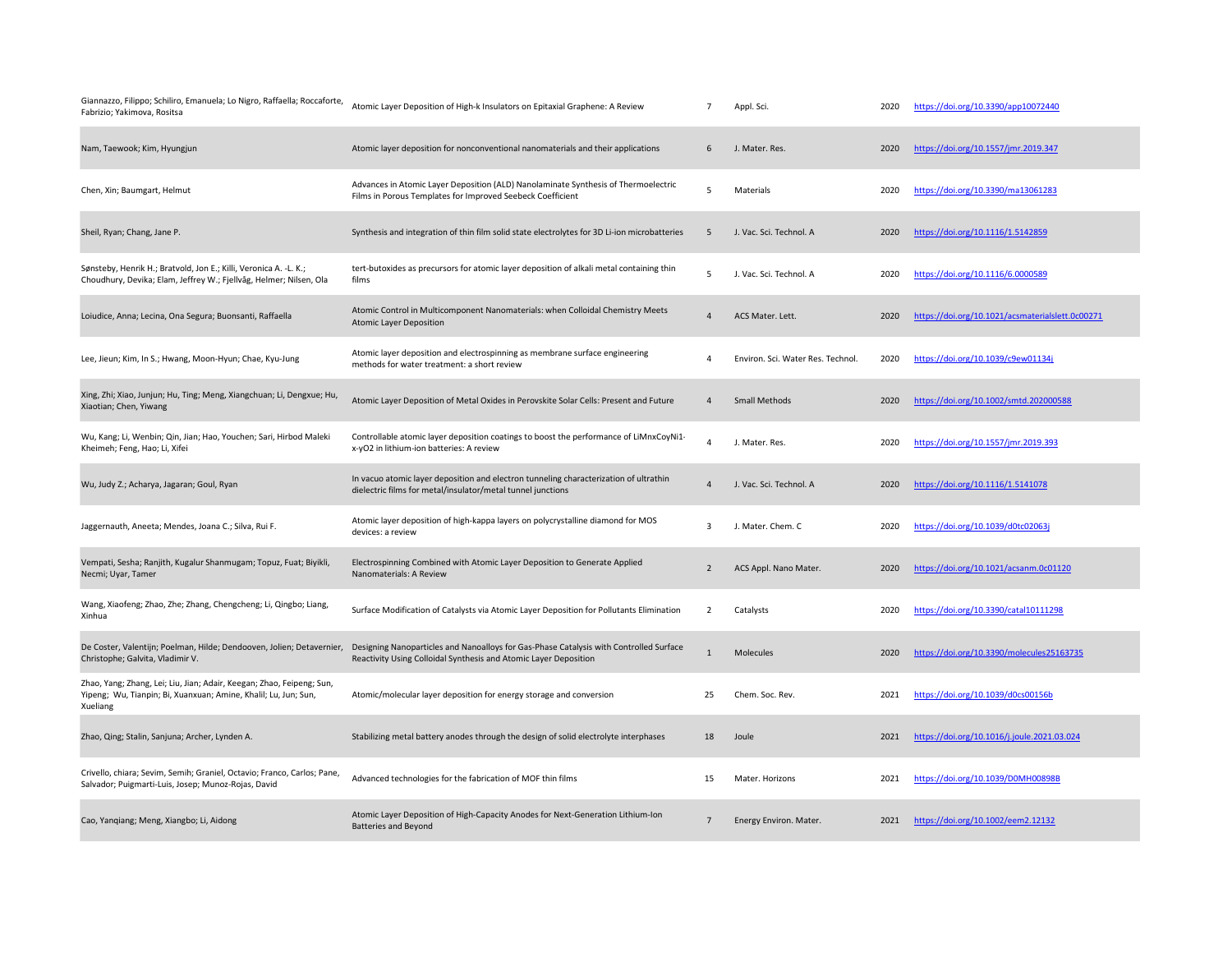| Giannazzo, Filippo; Schiliro, Emanuela; Lo Nigro, Raffaella; Roccaforte,<br>Fabrizio; Yakimova, Rositsa                                              | Atomic Layer Deposition of High-k Insulators on Epitaxial Graphene: A Review                                                                               | $\overline{7}$  | Appl. Sci.                        | 2020 | https://doi.org/10.3390/app10072440              |
|------------------------------------------------------------------------------------------------------------------------------------------------------|------------------------------------------------------------------------------------------------------------------------------------------------------------|-----------------|-----------------------------------|------|--------------------------------------------------|
| Nam, Taewook; Kim, Hyungjun                                                                                                                          | Atomic layer deposition for nonconventional nanomaterials and their applications                                                                           | 6               | J. Mater. Res.                    | 2020 | https://doi.org/10.1557/jmr.2019.347             |
| Chen, Xin; Baumgart, Helmut                                                                                                                          | Advances in Atomic Layer Deposition (ALD) Nanolaminate Synthesis of Thermoelectric<br>Films in Porous Templates for Improved Seebeck Coefficient           | 5               | Materials                         | 2020 | https://doi.org/10.3390/ma13061283               |
| Sheil, Ryan; Chang, Jane P.                                                                                                                          | Synthesis and integration of thin film solid state electrolytes for 3D Li-ion microbatteries                                                               | 5               | J. Vac. Sci. Technol. A           | 2020 | https://doi.org/10.1116/1.5142859                |
| Sønsteby, Henrik H.; Bratvold, Jon E.; Killi, Veronica A. -L. K.;<br>Choudhury, Devika; Elam, Jeffrey W.; Fjellvåg, Helmer; Nilsen, Ola              | tert-butoxides as precursors for atomic layer deposition of alkali metal containing thin<br>films                                                          | 5               | J. Vac. Sci. Technol. A           | 2020 | https://doi.org/10.1116/6.0000589                |
| Loiudice, Anna; Lecina, Ona Segura; Buonsanti, Raffaella                                                                                             | Atomic Control in Multicomponent Nanomaterials: when Colloidal Chemistry Meets<br><b>Atomic Layer Deposition</b>                                           | $\overline{4}$  | ACS Mater. Lett.                  | 2020 | https://doi.org/10.1021/acsmaterialslett.0c00271 |
| Lee, Jieun; Kim, In S.; Hwang, Moon-Hyun; Chae, Kyu-Jung                                                                                             | Atomic layer deposition and electrospinning as membrane surface engineering<br>methods for water treatment: a short review                                 | $\overline{4}$  | Environ. Sci. Water Res. Technol. | 2020 | https://doi.org/10.1039/c9ew01134j               |
| Xing, Zhi; Xiao, Junjun; Hu, Ting; Meng, Xiangchuan; Li, Dengxue; Hu,<br>Xiaotian; Chen, Yiwang                                                      | Atomic Layer Deposition of Metal Oxides in Perovskite Solar Cells: Present and Future                                                                      | $\Delta$        | <b>Small Methods</b>              | 2020 | https://doi.org/10.1002/smtd.202000588           |
| Wu, Kang; Li, Wenbin; Qin, Jian; Hao, Youchen; Sari, Hirbod Maleki<br>Kheimeh; Feng, Hao; Li, Xifei                                                  | Controllable atomic layer deposition coatings to boost the performance of LiMnxCoyNi1-<br>x-yO2 in lithium-ion batteries: A review                         | $\Delta$        | J. Mater. Res.                    | 2020 | https://doi.org/10.1557/jmr.2019.393             |
| Wu, Judy Z.; Acharya, Jagaran; Goul, Ryan                                                                                                            | In vacuo atomic layer deposition and electron tunneling characterization of ultrathin<br>dielectric films for metal/insulator/metal tunnel junctions       | $\Delta$        | J. Vac. Sci. Technol. A           | 2020 | https://doi.org/10.1116/1.5141078                |
| Jaggernauth, Aneeta; Mendes, Joana C.; Silva, Rui F.                                                                                                 | Atomic layer deposition of high-kappa layers on polycrystalline diamond for MOS<br>devices: a review                                                       | $\overline{3}$  | J. Mater. Chem. C                 | 2020 | https://doi.org/10.1039/d0tc02063j               |
| Vempati, Sesha; Ranjith, Kugalur Shanmugam; Topuz, Fuat; Biyikli,<br>Necmi; Uyar, Tamer                                                              | Electrospinning Combined with Atomic Layer Deposition to Generate Applied<br>Nanomaterials: A Review                                                       | $\overline{2}$  | ACS Appl. Nano Mater.             | 2020 | https://doi.org/10.1021/acsanm.0c01120           |
| Wang, Xiaofeng; Zhao, Zhe; Zhang, Chengcheng; Li, Qingbo; Liang,<br>Xinhua                                                                           | Surface Modification of Catalysts via Atomic Layer Deposition for Pollutants Elimination                                                                   | $\overline{2}$  | Catalysts                         | 2020 | https://doi.org/10.3390/catal10111298            |
| De Coster, Valentijn; Poelman, Hilde; Dendooven, Jolien; Detavernier,<br>Christophe; Galvita, Vladimir V.                                            | Designing Nanoparticles and Nanoalloys for Gas-Phase Catalysis with Controlled Surface<br>Reactivity Using Colloidal Synthesis and Atomic Layer Deposition | $\mathbf{1}$    | <b>Molecules</b>                  | 2020 | https://doi.org/10.3390/molecules25163735        |
| Zhao, Yang; Zhang, Lei; Liu, Jian; Adair, Keegan; Zhao, Feipeng; Sun,<br>Yipeng; Wu, Tianpin; Bi, Xuanxuan; Amine, Khalil; Lu, Jun; Sun,<br>Xueliang | Atomic/molecular layer deposition for energy storage and conversion                                                                                        | 25              | Chem. Soc. Rev.                   | 2021 | https://doi.org/10.1039/d0cs00156b               |
| Zhao, Qing; Stalin, Sanjuna; Archer, Lynden A.                                                                                                       | Stabilizing metal battery anodes through the design of solid electrolyte interphases                                                                       | 18              | Joule                             | 2021 | https://doi.org/10.1016/j.joule.2021.03.024      |
| Crivello, chiara; Sevim, Semih; Graniel, Octavio; Franco, Carlos; Pane,<br>Salvador; Puigmarti-Luis, Josep; Munoz-Rojas, David                       | Advanced technologies for the fabrication of MOF thin films                                                                                                | 15              | Mater. Horizons                   | 2021 | https://doi.org/10.1039/D0MH00898B               |
| Cao, Yangiang; Meng, Xiangbo; Li, Aidong                                                                                                             | Atomic Layer Deposition of High-Capacity Anodes for Next-Generation Lithium-Ion<br><b>Batteries and Beyond</b>                                             | $7\overline{ }$ | Energy Environ. Mater.            | 2021 | https://doi.org/10.1002/eem2.12132               |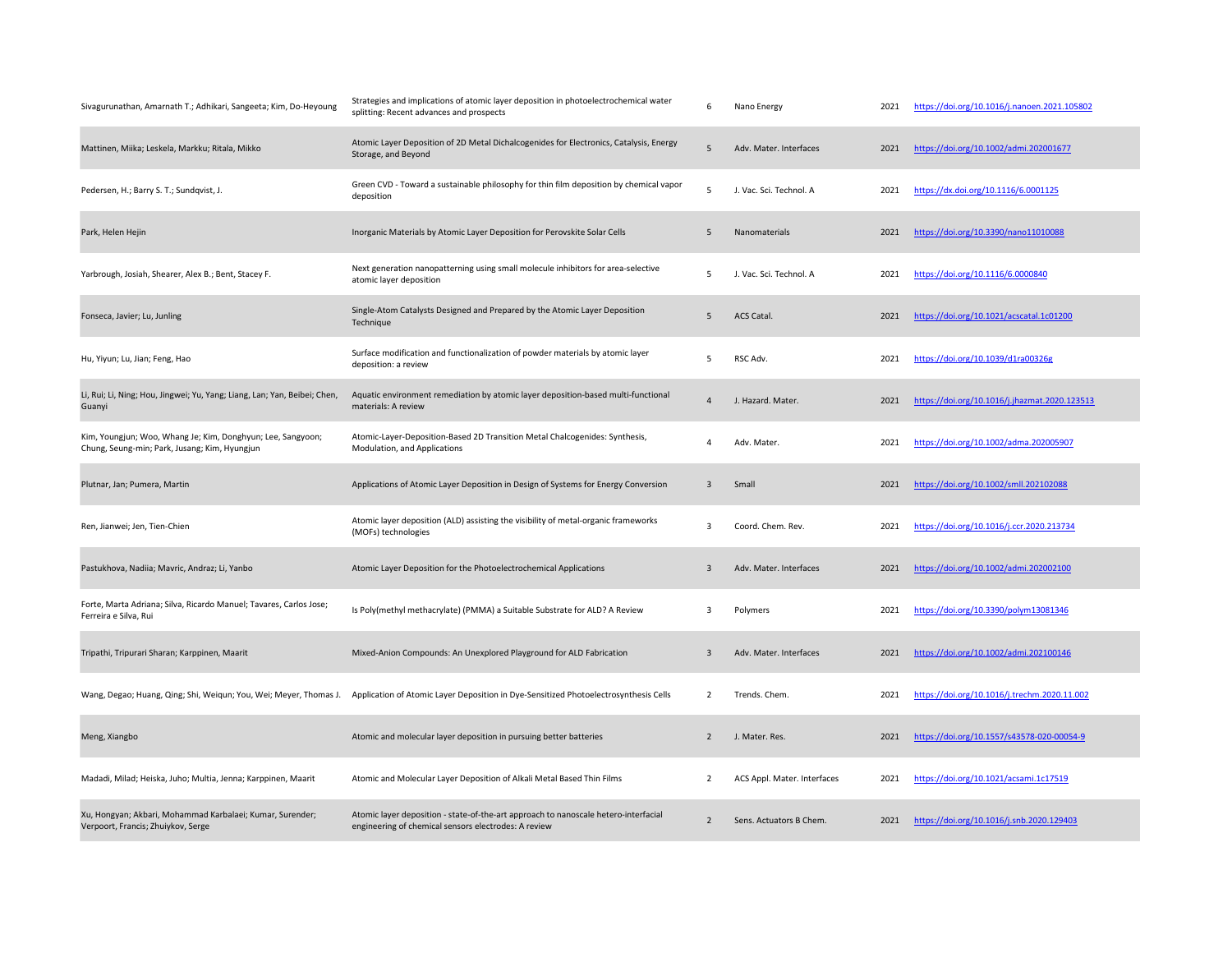| Sivagurunathan, Amarnath T.; Adhikari, Sangeeta; Kim, Do-Heyoung                                             | Strategies and implications of atomic layer deposition in photoelectrochemical water<br>splitting: Recent advances and prospects            | 6              | Nano Energy                 | 2021 | https://doi.org/10.1016/j.nanoen.2021.105802  |
|--------------------------------------------------------------------------------------------------------------|---------------------------------------------------------------------------------------------------------------------------------------------|----------------|-----------------------------|------|-----------------------------------------------|
| Mattinen, Miika; Leskela, Markku; Ritala, Mikko                                                              | Atomic Layer Deposition of 2D Metal Dichalcogenides for Electronics, Catalysis, Energy<br>Storage, and Beyond                               | 5              | Adv. Mater. Interfaces      | 2021 | https://doi.org/10.1002/admi.202001677        |
| Pedersen, H.; Barry S. T.; Sundqvist, J.                                                                     | Green CVD - Toward a sustainable philosophy for thin film deposition by chemical vapor<br>deposition                                        | 5              | J. Vac. Sci. Technol. A     | 2021 | https://dx.doi.org/10.1116/6.0001125          |
| Park, Helen Hejin                                                                                            | Inorganic Materials by Atomic Layer Deposition for Perovskite Solar Cells                                                                   | 5              | Nanomaterials               | 2021 | https://doi.org/10.3390/nano11010088          |
| Yarbrough, Josiah, Shearer, Alex B.; Bent, Stacey F.                                                         | Next generation nanopatterning using small molecule inhibitors for area-selective<br>atomic layer deposition                                | 5              | J. Vac. Sci. Technol. A     | 2021 | https://doi.org/10.1116/6.0000840             |
| Fonseca, Javier; Lu, Junling                                                                                 | Single-Atom Catalysts Designed and Prepared by the Atomic Layer Deposition<br>Technique                                                     | 5              | <b>ACS Catal</b>            | 2021 | https://doi.org/10.1021/acscatal.1c01200      |
| Hu, Yiyun; Lu, Jian; Feng, Hao                                                                               | Surface modification and functionalization of powder materials by atomic layer<br>deposition: a review                                      | 5              | RSC Adv.                    | 2021 | https://doi.org/10.1039/d1ra00326g            |
| Li, Rui; Li, Ning; Hou, Jingwei; Yu, Yang; Liang, Lan; Yan, Beibei; Chen,<br>Guanyi                          | Aquatic environment remediation by atomic layer deposition-based multi-functional<br>materials: A review                                    | $\overline{4}$ | J. Hazard. Mater.           | 2021 | https://doi.org/10.1016/j.jhazmat.2020.123513 |
| Kim, Youngjun; Woo, Whang Je; Kim, Donghyun; Lee, Sangyoon;<br>Chung, Seung-min; Park, Jusang; Kim, Hyungjun | Atomic-Layer-Deposition-Based 2D Transition Metal Chalcogenides: Synthesis,<br>Modulation, and Applications                                 | 4              | Adv. Mater.                 | 2021 | https://doi.org/10.1002/adma.202005907        |
| Plutnar, Jan; Pumera, Martin                                                                                 | Applications of Atomic Layer Deposition in Design of Systems for Energy Conversion                                                          | 3              | Small                       | 2021 | https://doi.org/10.1002/smll.202102088        |
| Ren, Jianwei; Jen, Tien-Chien                                                                                | Atomic layer deposition (ALD) assisting the visibility of metal-organic frameworks<br>(MOFs) technologies                                   | $\overline{3}$ | Coord. Chem. Rev.           | 2021 | https://doi.org/10.1016/j.ccr.2020.213734     |
| Pastukhova, Nadiia; Mavric, Andraz; Li, Yanbo                                                                | Atomic Layer Deposition for the Photoelectrochemical Applications                                                                           | 3              | Adv. Mater. Interfaces      | 2021 | https://doi.org/10.1002/admi.202002100        |
| Forte, Marta Adriana; Silva, Ricardo Manuel; Tavares, Carlos Jose;<br>Ferreira e Silva, Rui                  | Is Poly(methyl methacrylate) (PMMA) a Suitable Substrate for ALD? A Review                                                                  | 3              | Polymers                    | 2021 | https://doi.org/10.3390/polym13081346         |
| Tripathi, Tripurari Sharan; Karppinen, Maarit                                                                | Mixed-Anion Compounds: An Unexplored Playground for ALD Fabrication                                                                         | 3              | Adv. Mater. Interfaces      | 2021 | https://doi.org/10.1002/admi.202100146        |
| Wang, Degao; Huang, Qing; Shi, Weiqun; You, Wei; Meyer, Thomas J.                                            | Application of Atomic Layer Deposition in Dye-Sensitized Photoelectrosynthesis Cells                                                        | 2              | Trends. Chem.               | 2021 | https://doi.org/10.1016/j.trechm.2020.11.002  |
| Meng, Xiangbo                                                                                                | Atomic and molecular layer deposition in pursuing better batteries                                                                          | $\overline{2}$ | J. Mater. Res.              | 2021 | https://doi.org/10.1557/s43578-020-00054-9    |
| Madadi, Milad; Heiska, Juho; Multia, Jenna; Karppinen, Maarit                                                | Atomic and Molecular Layer Deposition of Alkali Metal Based Thin Films                                                                      | 2              | ACS Appl. Mater. Interfaces | 2021 | https://doi.org/10.1021/acsami.1c17519        |
| Xu, Hongyan; Akbari, Mohammad Karbalaei; Kumar, Surender;<br>Verpoort, Francis; Zhuiykov, Serge              | Atomic layer deposition - state-of-the-art approach to nanoscale hetero-interfacial<br>engineering of chemical sensors electrodes: A review | $\overline{2}$ | Sens. Actuators B Chem.     | 2021 | https://doi.org/10.1016/j.snb.2020.129403     |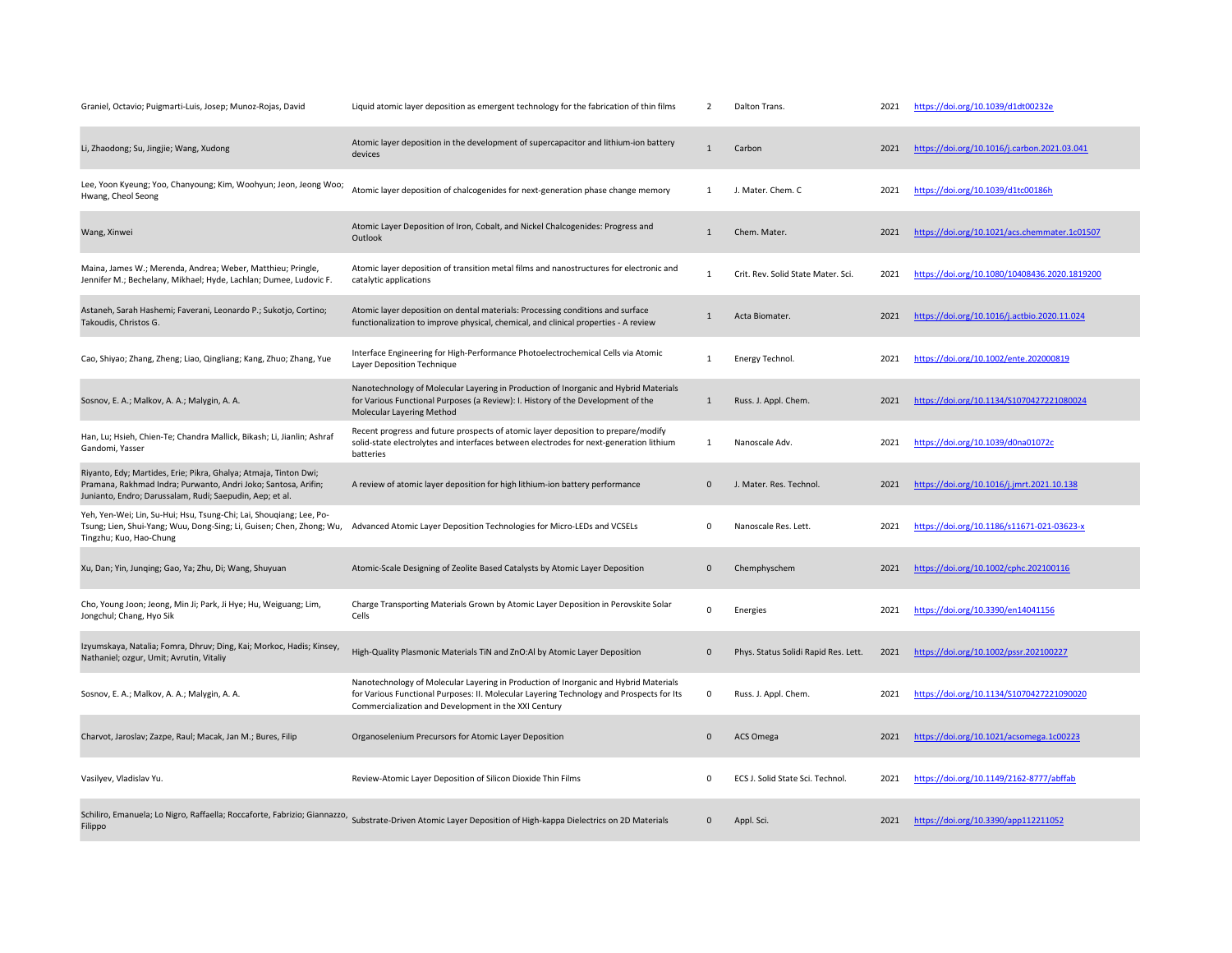| Graniel, Octavio; Puigmarti-Luis, Josep; Munoz-Rojas, David                                                                                                                                    | Liquid atomic layer deposition as emergent technology for the fabrication of thin films                                                                                                                                                  | $\overline{2}$      | Dalton Trans.                        | 2021 | https://doi.org/10.1039/d1dt00232e            |
|------------------------------------------------------------------------------------------------------------------------------------------------------------------------------------------------|------------------------------------------------------------------------------------------------------------------------------------------------------------------------------------------------------------------------------------------|---------------------|--------------------------------------|------|-----------------------------------------------|
| Li, Zhaodong; Su, Jingjie; Wang, Xudong                                                                                                                                                        | Atomic layer deposition in the development of supercapacitor and lithium-ion battery<br>devices                                                                                                                                          | $\mathbf{1}$        | Carbon                               | 2021 | https://doi.org/10.1016/j.carbon.2021.03.041  |
| Lee, Yoon Kyeung; Yoo, Chanyoung; Kim, Woohyun; Jeon, Jeong Woo;<br>Hwang, Cheol Seong                                                                                                         | Atomic layer deposition of chalcogenides for next-generation phase change memory                                                                                                                                                         | 1                   | J. Mater. Chem. C                    | 2021 | https://doi.org/10.1039/d1tc00186h            |
| Wang, Xinwei                                                                                                                                                                                   | Atomic Layer Deposition of Iron, Cobalt, and Nickel Chalcogenides: Progress and<br>Outlook                                                                                                                                               | $\mathbf{1}$        | Chem. Mater.                         | 2021 | https://doi.org/10.1021/acs.chemmater.1c01507 |
| Maina, James W.; Merenda, Andrea; Weber, Matthieu; Pringle,<br>Jennifer M.; Bechelany, Mikhael; Hyde, Lachlan; Dumee, Ludovic F.                                                               | Atomic layer deposition of transition metal films and nanostructures for electronic and<br>catalytic applications                                                                                                                        | $\mathbf{1}$        | Crit. Rev. Solid State Mater. Sci.   | 2021 | https://doi.org/10.1080/10408436.2020.1819200 |
| Astaneh, Sarah Hashemi; Faverani, Leonardo P.; Sukotjo, Cortino;<br>Takoudis, Christos G.                                                                                                      | Atomic layer deposition on dental materials: Processing conditions and surface<br>functionalization to improve physical, chemical, and clinical properties - A review                                                                    | $\mathbf{1}$        | Acta Biomater.                       | 2021 | https://doi.org/10.1016/j.actbio.2020.11.024  |
| Cao, Shiyao; Zhang, Zheng; Liao, Qingliang; Kang, Zhuo; Zhang, Yue                                                                                                                             | Interface Engineering for High-Performance Photoelectrochemical Cells via Atomic<br>Layer Deposition Technique                                                                                                                           | $\mathbf{1}$        | Energy Technol.                      | 2021 | https://doi.org/10.1002/ente.202000819        |
| Sosnov, E. A.; Malkov, A. A.; Malygin, A. A.                                                                                                                                                   | Nanotechnology of Molecular Layering in Production of Inorganic and Hybrid Materials<br>for Various Functional Purposes (a Review): I. History of the Development of the<br>Molecular Layering Method                                    | $\mathbf{1}$        | Russ. J. Appl. Chem.                 | 2021 | https://doi.org/10.1134/S1070427221080024     |
| Han, Lu; Hsieh, Chien-Te; Chandra Mallick, Bikash; Li, Jianlin; Ashraf<br>Gandomi, Yasser                                                                                                      | Recent progress and future prospects of atomic layer deposition to prepare/modify<br>solid-state electrolytes and interfaces between electrodes for next-generation lithium<br>batteries                                                 | $\mathbf 1$         | Nanoscale Adv.                       | 2021 | https://doi.org/10.1039/d0na01072c            |
| Riyanto, Edy; Martides, Erie; Pikra, Ghalya; Atmaja, Tinton Dwi;<br>Pramana, Rakhmad Indra; Purwanto, Andri Joko; Santosa, Arifin;<br>Junianto, Endro; Darussalam, Rudi; Saepudin, Aep; et al. | A review of atomic layer deposition for high lithium-ion battery performance                                                                                                                                                             | $\mathsf{O}\xspace$ | J. Mater. Res. Technol.              | 2021 | https://doi.org/10.1016/j.jmrt.2021.10.138    |
| Yeh, Yen-Wei; Lin, Su-Hui; Hsu, Tsung-Chi; Lai, Shouqiang; Lee, Po-<br>Tsung; Lien, Shui-Yang; Wuu, Dong-Sing; Li, Guisen; Chen, Zhong; Wu,<br>Tingzhu; Kuo, Hao-Chung                         | Advanced Atomic Layer Deposition Technologies for Micro-LEDs and VCSELs                                                                                                                                                                  | 0                   | Nanoscale Res. Lett.                 | 2021 | https://doi.org/10.1186/s11671-021-03623-x    |
| Xu, Dan; Yin, Junqing; Gao, Ya; Zhu, Di; Wang, Shuyuan                                                                                                                                         | Atomic-Scale Designing of Zeolite Based Catalysts by Atomic Layer Deposition                                                                                                                                                             | $\mathbf 0$         | Chemphyschem                         | 2021 | https://doi.org/10.1002/cphc.202100116        |
| Cho, Young Joon; Jeong, Min Ji; Park, Ji Hye; Hu, Weiguang; Lim,<br>Jongchul; Chang, Hyo Sik                                                                                                   | Charge Transporting Materials Grown by Atomic Layer Deposition in Perovskite Solar<br>Cells                                                                                                                                              | $\Omega$            | Energies                             | 2021 | https://doi.org/10.3390/en14041156            |
| Izyumskaya, Natalia; Fomra, Dhruv; Ding, Kai; Morkoc, Hadis; Kinsey,<br>Nathaniel; ozgur, Umit; Avrutin, Vitaliy                                                                               | High-Quality Plasmonic Materials TiN and ZnO:Al by Atomic Layer Deposition                                                                                                                                                               | $\mathbf{0}$        | Phys. Status Solidi Rapid Res. Lett. | 2021 | https://doi.org/10.1002/pssr.202100227        |
| Sosnov, E. A.; Malkov, A. A.; Malygin, A. A.                                                                                                                                                   | Nanotechnology of Molecular Layering in Production of Inorganic and Hybrid Materials<br>for Various Functional Purposes: II. Molecular Layering Technology and Prospects for Its<br>Commercialization and Development in the XXI Century | 0                   | Russ. J. Appl. Chem.                 | 2021 | https://doi.org/10.1134/S1070427221090020     |
| Charvot, Jaroslav; Zazpe, Raul; Macak, Jan M.; Bures, Filip                                                                                                                                    | Organoselenium Precursors for Atomic Layer Deposition                                                                                                                                                                                    | $\mathbf 0$         | <b>ACS Omega</b>                     | 2021 | https://doi.org/10.1021/acsomega.1c00223      |
| Vasilyev, Vladislav Yu.                                                                                                                                                                        | Review-Atomic Layer Deposition of Silicon Dioxide Thin Films                                                                                                                                                                             | $\mathbf 0$         | ECS J. Solid State Sci. Technol.     | 2021 | https://doi.org/10.1149/2162-8777/abffab      |
| Filippo                                                                                                                                                                                        | Schiliro, Emanuela; Lo Nigro, Raffaella; Roccaforte, Fabrizio; Giannazzo, Substrate-Driven Atomic Layer Deposition of High-kappa Dielectrics on 2D Materials                                                                             | $\mathbf{0}$        | Appl. Sci.                           | 2021 | https://doi.org/10.3390/app112211052          |